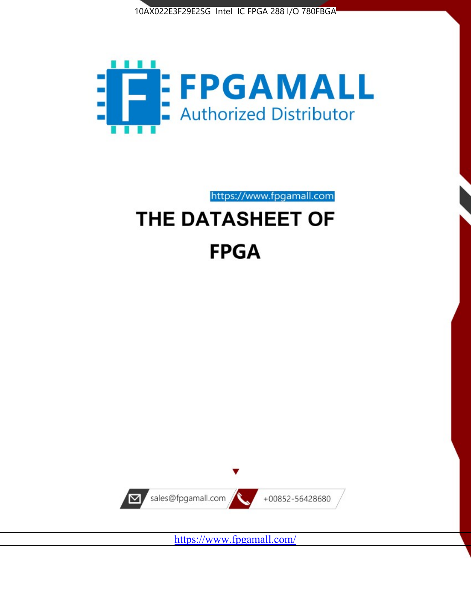



https://www.fpgamall.com

# THE DATASHEET OF **FPGA**



<https://www.fpgamall.com/>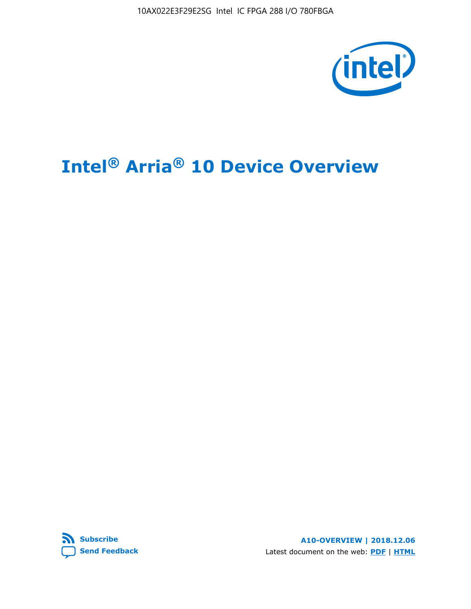10AX022E3F29E2SG Intel IC FPGA 288 I/O 780FBGA



# **Intel® Arria® 10 Device Overview**



**A10-OVERVIEW | 2018.12.06** Latest document on the web: **[PDF](https://www.intel.com/content/dam/www/programmable/us/en/pdfs/literature/hb/arria-10/a10_overview.pdf)** | **[HTML](https://www.intel.com/content/www/us/en/programmable/documentation/sam1403480274650.html)**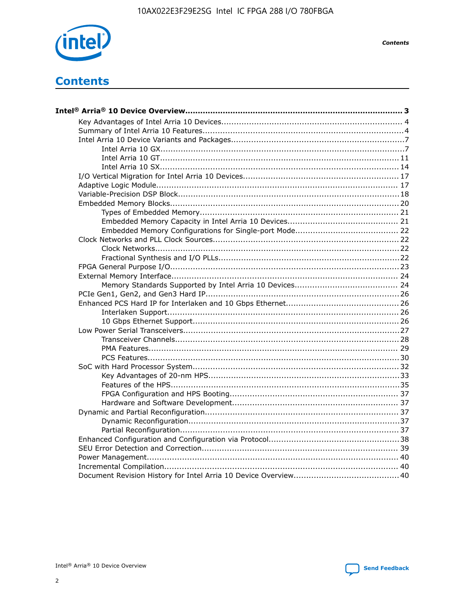

**Contents** 

# **Contents**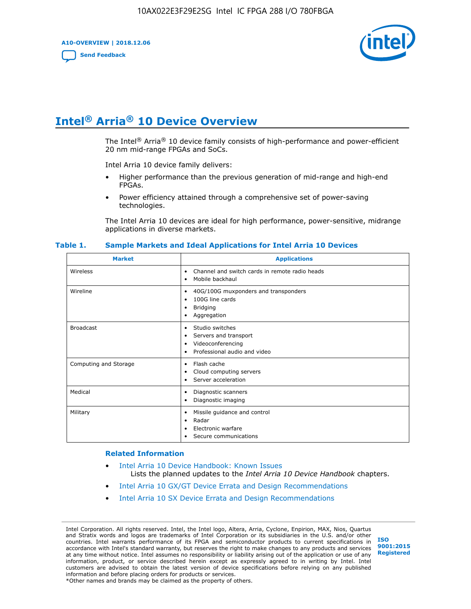**A10-OVERVIEW | 2018.12.06**

**[Send Feedback](mailto:FPGAtechdocfeedback@intel.com?subject=Feedback%20on%20Intel%20Arria%2010%20Device%20Overview%20(A10-OVERVIEW%202018.12.06)&body=We%20appreciate%20your%20feedback.%20In%20your%20comments,%20also%20specify%20the%20page%20number%20or%20paragraph.%20Thank%20you.)**



# **Intel® Arria® 10 Device Overview**

The Intel<sup>®</sup> Arria<sup>®</sup> 10 device family consists of high-performance and power-efficient 20 nm mid-range FPGAs and SoCs.

Intel Arria 10 device family delivers:

- Higher performance than the previous generation of mid-range and high-end FPGAs.
- Power efficiency attained through a comprehensive set of power-saving technologies.

The Intel Arria 10 devices are ideal for high performance, power-sensitive, midrange applications in diverse markets.

| <b>Market</b>         | <b>Applications</b>                                                                                               |
|-----------------------|-------------------------------------------------------------------------------------------------------------------|
| Wireless              | Channel and switch cards in remote radio heads<br>٠<br>Mobile backhaul<br>٠                                       |
| Wireline              | 40G/100G muxponders and transponders<br>٠<br>100G line cards<br>٠<br><b>Bridging</b><br>٠<br>Aggregation<br>٠     |
| <b>Broadcast</b>      | Studio switches<br>٠<br>Servers and transport<br>٠<br>Videoconferencing<br>٠<br>Professional audio and video<br>٠ |
| Computing and Storage | Flash cache<br>٠<br>Cloud computing servers<br>٠<br>Server acceleration<br>٠                                      |
| Medical               | Diagnostic scanners<br>٠<br>Diagnostic imaging<br>٠                                                               |
| Military              | Missile guidance and control<br>٠<br>Radar<br>٠<br>Electronic warfare<br>٠<br>Secure communications<br>٠          |

#### **Table 1. Sample Markets and Ideal Applications for Intel Arria 10 Devices**

#### **Related Information**

- [Intel Arria 10 Device Handbook: Known Issues](http://www.altera.com/support/kdb/solutions/rd07302013_646.html) Lists the planned updates to the *Intel Arria 10 Device Handbook* chapters.
- [Intel Arria 10 GX/GT Device Errata and Design Recommendations](https://www.intel.com/content/www/us/en/programmable/documentation/agz1493851706374.html#yqz1494433888646)
- [Intel Arria 10 SX Device Errata and Design Recommendations](https://www.intel.com/content/www/us/en/programmable/documentation/cru1462832385668.html#cru1462832558642)

Intel Corporation. All rights reserved. Intel, the Intel logo, Altera, Arria, Cyclone, Enpirion, MAX, Nios, Quartus and Stratix words and logos are trademarks of Intel Corporation or its subsidiaries in the U.S. and/or other countries. Intel warrants performance of its FPGA and semiconductor products to current specifications in accordance with Intel's standard warranty, but reserves the right to make changes to any products and services at any time without notice. Intel assumes no responsibility or liability arising out of the application or use of any information, product, or service described herein except as expressly agreed to in writing by Intel. Intel customers are advised to obtain the latest version of device specifications before relying on any published information and before placing orders for products or services. \*Other names and brands may be claimed as the property of others.

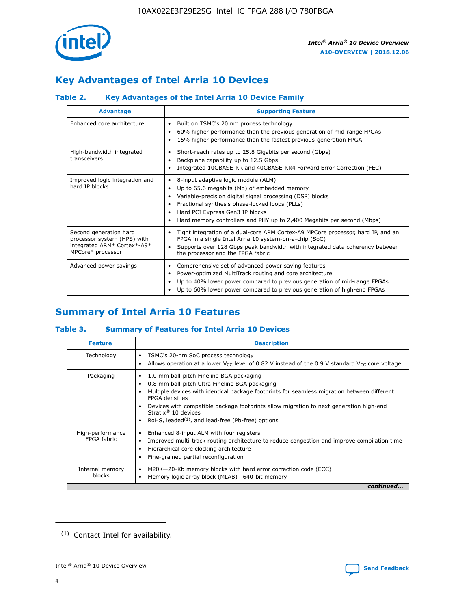

# **Key Advantages of Intel Arria 10 Devices**

# **Table 2. Key Advantages of the Intel Arria 10 Device Family**

| <b>Advantage</b>                                                                                          | <b>Supporting Feature</b>                                                                                                                                                                                                                                                                                                |
|-----------------------------------------------------------------------------------------------------------|--------------------------------------------------------------------------------------------------------------------------------------------------------------------------------------------------------------------------------------------------------------------------------------------------------------------------|
| Enhanced core architecture                                                                                | Built on TSMC's 20 nm process technology<br>٠<br>60% higher performance than the previous generation of mid-range FPGAs<br>٠<br>15% higher performance than the fastest previous-generation FPGA<br>٠                                                                                                                    |
| High-bandwidth integrated<br>transceivers                                                                 | Short-reach rates up to 25.8 Gigabits per second (Gbps)<br>٠<br>Backplane capability up to 12.5 Gbps<br>٠<br>Integrated 10GBASE-KR and 40GBASE-KR4 Forward Error Correction (FEC)<br>٠                                                                                                                                   |
| Improved logic integration and<br>hard IP blocks                                                          | 8-input adaptive logic module (ALM)<br>٠<br>Up to 65.6 megabits (Mb) of embedded memory<br>٠<br>Variable-precision digital signal processing (DSP) blocks<br>Fractional synthesis phase-locked loops (PLLs)<br>Hard PCI Express Gen3 IP blocks<br>Hard memory controllers and PHY up to 2,400 Megabits per second (Mbps) |
| Second generation hard<br>processor system (HPS) with<br>integrated ARM* Cortex*-A9*<br>MPCore* processor | Tight integration of a dual-core ARM Cortex-A9 MPCore processor, hard IP, and an<br>٠<br>FPGA in a single Intel Arria 10 system-on-a-chip (SoC)<br>Supports over 128 Gbps peak bandwidth with integrated data coherency between<br>$\bullet$<br>the processor and the FPGA fabric                                        |
| Advanced power savings                                                                                    | Comprehensive set of advanced power saving features<br>٠<br>Power-optimized MultiTrack routing and core architecture<br>٠<br>Up to 40% lower power compared to previous generation of mid-range FPGAs<br>٠<br>Up to 60% lower power compared to previous generation of high-end FPGAs                                    |

# **Summary of Intel Arria 10 Features**

## **Table 3. Summary of Features for Intel Arria 10 Devices**

| <b>Feature</b>                  | <b>Description</b>                                                                                                                                                                                                                                                                                                                                                                                           |
|---------------------------------|--------------------------------------------------------------------------------------------------------------------------------------------------------------------------------------------------------------------------------------------------------------------------------------------------------------------------------------------------------------------------------------------------------------|
| Technology                      | TSMC's 20-nm SoC process technology<br>Allows operation at a lower $V_{\text{CC}}$ level of 0.82 V instead of the 0.9 V standard $V_{\text{CC}}$ core voltage                                                                                                                                                                                                                                                |
| Packaging                       | 1.0 mm ball-pitch Fineline BGA packaging<br>٠<br>0.8 mm ball-pitch Ultra Fineline BGA packaging<br>Multiple devices with identical package footprints for seamless migration between different<br><b>FPGA</b> densities<br>Devices with compatible package footprints allow migration to next generation high-end<br>Stratix <sup>®</sup> 10 devices<br>RoHS, leaded $(1)$ , and lead-free (Pb-free) options |
| High-performance<br>FPGA fabric | Enhanced 8-input ALM with four registers<br>Improved multi-track routing architecture to reduce congestion and improve compilation time<br>Hierarchical core clocking architecture<br>Fine-grained partial reconfiguration                                                                                                                                                                                   |
| Internal memory<br>blocks       | M20K-20-Kb memory blocks with hard error correction code (ECC)<br>Memory logic array block (MLAB)-640-bit memory                                                                                                                                                                                                                                                                                             |
|                                 | continued                                                                                                                                                                                                                                                                                                                                                                                                    |



<sup>(1)</sup> Contact Intel for availability.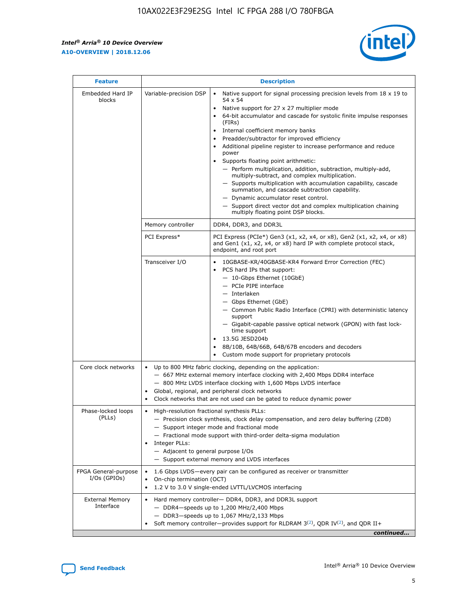$\mathsf{r}$ 



| <b>Feature</b>                         |                                                                                                                | <b>Description</b>                                                                                                                                                                                                                                                                                                                                                                                                                                                                                                                                                                                                                                                                                                                                                                                                                          |
|----------------------------------------|----------------------------------------------------------------------------------------------------------------|---------------------------------------------------------------------------------------------------------------------------------------------------------------------------------------------------------------------------------------------------------------------------------------------------------------------------------------------------------------------------------------------------------------------------------------------------------------------------------------------------------------------------------------------------------------------------------------------------------------------------------------------------------------------------------------------------------------------------------------------------------------------------------------------------------------------------------------------|
| Embedded Hard IP<br>blocks             | Variable-precision DSP                                                                                         | Native support for signal processing precision levels from $18 \times 19$ to<br>$\bullet$<br>54 x 54<br>Native support for 27 x 27 multiplier mode<br>64-bit accumulator and cascade for systolic finite impulse responses<br>(FIRS)<br>Internal coefficient memory banks<br>٠<br>Preadder/subtractor for improved efficiency<br>Additional pipeline register to increase performance and reduce<br>power<br>Supports floating point arithmetic:<br>- Perform multiplication, addition, subtraction, multiply-add,<br>multiply-subtract, and complex multiplication.<br>- Supports multiplication with accumulation capability, cascade<br>summation, and cascade subtraction capability.<br>- Dynamic accumulator reset control.<br>- Support direct vector dot and complex multiplication chaining<br>multiply floating point DSP blocks. |
|                                        | Memory controller                                                                                              | DDR4, DDR3, and DDR3L                                                                                                                                                                                                                                                                                                                                                                                                                                                                                                                                                                                                                                                                                                                                                                                                                       |
|                                        | PCI Express*                                                                                                   | PCI Express (PCIe*) Gen3 (x1, x2, x4, or x8), Gen2 (x1, x2, x4, or x8)<br>and Gen1 (x1, x2, x4, or x8) hard IP with complete protocol stack,<br>endpoint, and root port                                                                                                                                                                                                                                                                                                                                                                                                                                                                                                                                                                                                                                                                     |
|                                        | Transceiver I/O                                                                                                | 10GBASE-KR/40GBASE-KR4 Forward Error Correction (FEC)<br>PCS hard IPs that support:<br>- 10-Gbps Ethernet (10GbE)<br>- PCIe PIPE interface<br>- Interlaken<br>- Gbps Ethernet (GbE)<br>- Common Public Radio Interface (CPRI) with deterministic latency<br>support<br>- Gigabit-capable passive optical network (GPON) with fast lock-<br>time support<br>13.5G JESD204b<br>8B/10B, 64B/66B, 64B/67B encoders and decoders<br>Custom mode support for proprietary protocols                                                                                                                                                                                                                                                                                                                                                                |
| Core clock networks                    | $\bullet$                                                                                                      | Up to 800 MHz fabric clocking, depending on the application:<br>- 667 MHz external memory interface clocking with 2,400 Mbps DDR4 interface<br>- 800 MHz LVDS interface clocking with 1,600 Mbps LVDS interface<br>Global, regional, and peripheral clock networks<br>Clock networks that are not used can be gated to reduce dynamic power                                                                                                                                                                                                                                                                                                                                                                                                                                                                                                 |
| Phase-locked loops<br>(PLLs)           | High-resolution fractional synthesis PLLs:<br>$\bullet$<br>Integer PLLs:<br>- Adjacent to general purpose I/Os | - Precision clock synthesis, clock delay compensation, and zero delay buffering (ZDB)<br>- Support integer mode and fractional mode<br>- Fractional mode support with third-order delta-sigma modulation<br>- Support external memory and LVDS interfaces                                                                                                                                                                                                                                                                                                                                                                                                                                                                                                                                                                                   |
| FPGA General-purpose<br>$I/Os$ (GPIOs) | On-chip termination (OCT)<br>$\bullet$                                                                         | 1.6 Gbps LVDS-every pair can be configured as receiver or transmitter<br>1.2 V to 3.0 V single-ended LVTTL/LVCMOS interfacing                                                                                                                                                                                                                                                                                                                                                                                                                                                                                                                                                                                                                                                                                                               |
| <b>External Memory</b><br>Interface    |                                                                                                                | Hard memory controller- DDR4, DDR3, and DDR3L support<br>$-$ DDR4 $-$ speeds up to 1,200 MHz/2,400 Mbps<br>- DDR3-speeds up to 1,067 MHz/2,133 Mbps<br>Soft memory controller—provides support for RLDRAM $3^{(2)}$ , QDR IV $(2)$ , and QDR II+<br>continued                                                                                                                                                                                                                                                                                                                                                                                                                                                                                                                                                                               |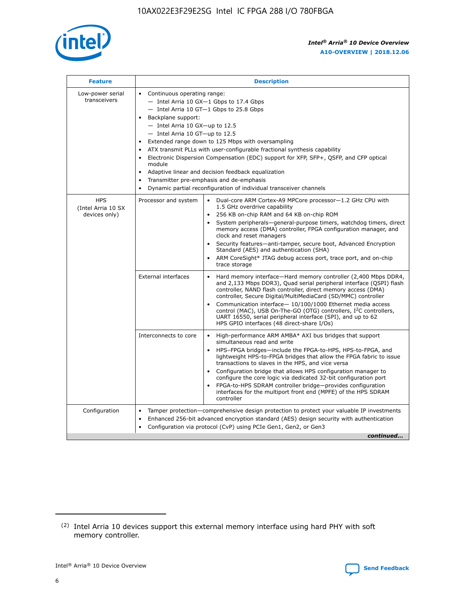

| <b>Feature</b>                                    | <b>Description</b>                                                                                                                                                                                                                                                                                                                                                                                                                                                                                                                                                                                                                                                        |
|---------------------------------------------------|---------------------------------------------------------------------------------------------------------------------------------------------------------------------------------------------------------------------------------------------------------------------------------------------------------------------------------------------------------------------------------------------------------------------------------------------------------------------------------------------------------------------------------------------------------------------------------------------------------------------------------------------------------------------------|
| Low-power serial<br>transceivers                  | • Continuous operating range:<br>- Intel Arria 10 GX-1 Gbps to 17.4 Gbps<br>$-$ Intel Arria 10 GT $-1$ Gbps to 25.8 Gbps<br>Backplane support:<br>$\bullet$<br>$-$ Intel Arria 10 GX-up to 12.5<br>$-$ Intel Arria 10 GT-up to 12.5<br>Extended range down to 125 Mbps with oversampling<br>ATX transmit PLLs with user-configurable fractional synthesis capability<br>Electronic Dispersion Compensation (EDC) support for XFP, SFP+, OSFP, and CFP optical<br>module<br>Adaptive linear and decision feedback equalization<br>$\bullet$<br>Transmitter pre-emphasis and de-emphasis<br>$\bullet$<br>Dynamic partial reconfiguration of individual transceiver channels |
| <b>HPS</b><br>(Intel Arria 10 SX<br>devices only) | Dual-core ARM Cortex-A9 MPCore processor-1.2 GHz CPU with<br>Processor and system<br>$\bullet$<br>1.5 GHz overdrive capability<br>256 KB on-chip RAM and 64 KB on-chip ROM<br>System peripherals-general-purpose timers, watchdog timers, direct<br>memory access (DMA) controller, FPGA configuration manager, and<br>clock and reset managers<br>• Security features—anti-tamper, secure boot, Advanced Encryption<br>Standard (AES) and authentication (SHA)<br>ARM CoreSight* JTAG debug access port, trace port, and on-chip<br>$\bullet$<br>trace storage                                                                                                           |
|                                                   | <b>External interfaces</b><br>Hard memory interface—Hard memory controller (2,400 Mbps DDR4,<br>and 2,133 Mbps DDR3), Quad serial peripheral interface (QSPI) flash<br>controller, NAND flash controller, direct memory access (DMA)<br>controller, Secure Digital/MultiMediaCard (SD/MMC) controller<br>Communication interface-10/100/1000 Ethernet media access<br>$\bullet$<br>control (MAC), USB On-The-GO (OTG) controllers, I <sup>2</sup> C controllers,<br>UART 16550, serial peripheral interface (SPI), and up to 62<br>HPS GPIO interfaces (48 direct-share I/Os)                                                                                             |
|                                                   | Interconnects to core<br>• High-performance ARM AMBA* AXI bus bridges that support<br>simultaneous read and write<br>HPS-FPGA bridges-include the FPGA-to-HPS, HPS-to-FPGA, and<br>$\bullet$<br>lightweight HPS-to-FPGA bridges that allow the FPGA fabric to issue<br>transactions to slaves in the HPS, and vice versa<br>Configuration bridge that allows HPS configuration manager to<br>configure the core logic via dedicated 32-bit configuration port<br>FPGA-to-HPS SDRAM controller bridge-provides configuration<br>interfaces for the multiport front end (MPFE) of the HPS SDRAM<br>controller                                                               |
| Configuration                                     | Tamper protection—comprehensive design protection to protect your valuable IP investments<br>Enhanced 256-bit advanced encryption standard (AES) design security with authentication<br>$\bullet$<br>Configuration via protocol (CvP) using PCIe Gen1, Gen2, or Gen3<br>continued                                                                                                                                                                                                                                                                                                                                                                                         |

<sup>(2)</sup> Intel Arria 10 devices support this external memory interface using hard PHY with soft memory controller.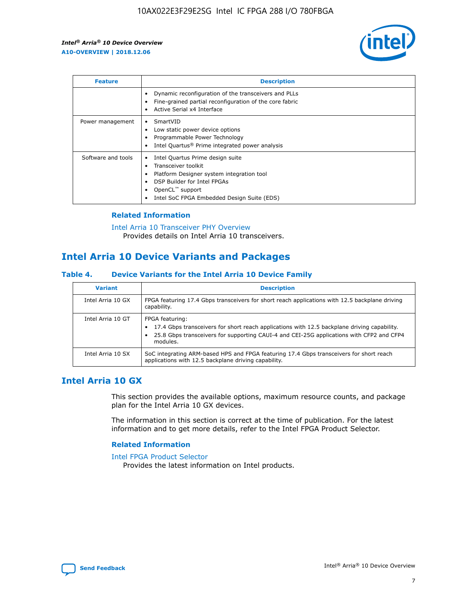

| <b>Feature</b>     | <b>Description</b>                                                                                                                                                                                                    |
|--------------------|-----------------------------------------------------------------------------------------------------------------------------------------------------------------------------------------------------------------------|
|                    | Dynamic reconfiguration of the transceivers and PLLs<br>Fine-grained partial reconfiguration of the core fabric<br>Active Serial x4 Interface<br>٠                                                                    |
| Power management   | SmartVID<br>Low static power device options<br>Programmable Power Technology<br>Intel Quartus <sup>®</sup> Prime integrated power analysis                                                                            |
| Software and tools | Intel Quartus Prime design suite<br>Transceiver toolkit<br>Platform Designer system integration tool<br>٠<br>DSP Builder for Intel FPGAs<br>OpenCL <sup>™</sup> support<br>Intel SoC FPGA Embedded Design Suite (EDS) |

## **Related Information**

[Intel Arria 10 Transceiver PHY Overview](https://www.intel.com/content/www/us/en/programmable/documentation/nik1398707230472.html#nik1398706768037) Provides details on Intel Arria 10 transceivers.

# **Intel Arria 10 Device Variants and Packages**

#### **Table 4. Device Variants for the Intel Arria 10 Device Family**

| <b>Variant</b>    | <b>Description</b>                                                                                                                                                                                                     |
|-------------------|------------------------------------------------------------------------------------------------------------------------------------------------------------------------------------------------------------------------|
| Intel Arria 10 GX | FPGA featuring 17.4 Gbps transceivers for short reach applications with 12.5 backplane driving<br>capability.                                                                                                          |
| Intel Arria 10 GT | FPGA featuring:<br>17.4 Gbps transceivers for short reach applications with 12.5 backplane driving capability.<br>25.8 Gbps transceivers for supporting CAUI-4 and CEI-25G applications with CFP2 and CFP4<br>modules. |
| Intel Arria 10 SX | SoC integrating ARM-based HPS and FPGA featuring 17.4 Gbps transceivers for short reach<br>applications with 12.5 backplane driving capability.                                                                        |

# **Intel Arria 10 GX**

This section provides the available options, maximum resource counts, and package plan for the Intel Arria 10 GX devices.

The information in this section is correct at the time of publication. For the latest information and to get more details, refer to the Intel FPGA Product Selector.

#### **Related Information**

#### [Intel FPGA Product Selector](http://www.altera.com/products/selector/psg-selector.html) Provides the latest information on Intel products.

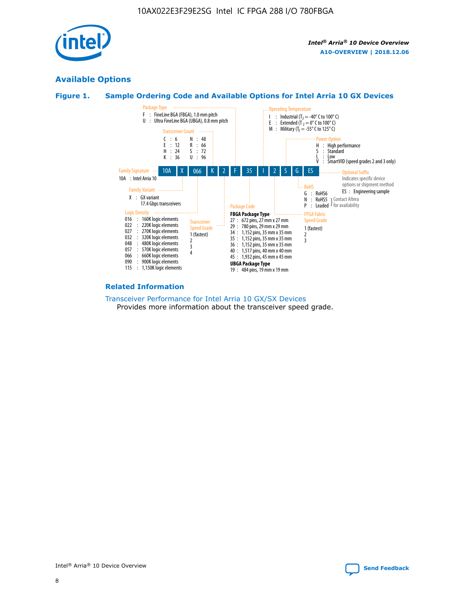

# **Available Options**





#### **Related Information**

[Transceiver Performance for Intel Arria 10 GX/SX Devices](https://www.intel.com/content/www/us/en/programmable/documentation/mcn1413182292568.html#mcn1413213965502) Provides more information about the transceiver speed grade.

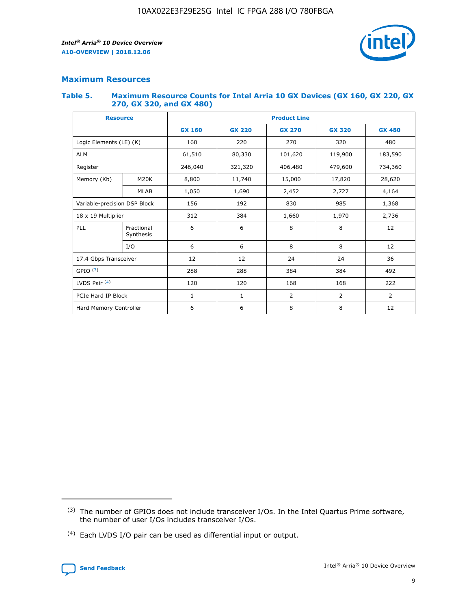

## **Maximum Resources**

#### **Table 5. Maximum Resource Counts for Intel Arria 10 GX Devices (GX 160, GX 220, GX 270, GX 320, and GX 480)**

| <b>Resource</b>              |                         | <b>Product Line</b> |                                                 |                |                |                |  |  |  |
|------------------------------|-------------------------|---------------------|-------------------------------------------------|----------------|----------------|----------------|--|--|--|
|                              |                         | <b>GX 160</b>       | <b>GX 220</b><br><b>GX 270</b><br><b>GX 320</b> |                |                | <b>GX 480</b>  |  |  |  |
| Logic Elements (LE) (K)      |                         | 160                 | 220                                             | 270            | 320            | 480            |  |  |  |
| <b>ALM</b>                   |                         | 61,510              | 80,330                                          | 101,620        | 119,900        | 183,590        |  |  |  |
| Register                     |                         | 246,040             | 406,480<br>321,320                              |                | 479,600        | 734,360        |  |  |  |
| Memory (Kb)                  | M <sub>20</sub> K       | 8,800               | 11,740                                          | 15,000         | 17,820         | 28,620         |  |  |  |
|                              | <b>MLAB</b>             | 1,050               | 1,690<br>2,452                                  |                | 2,727          | 4,164          |  |  |  |
| Variable-precision DSP Block |                         | 156                 | 192                                             | 830<br>985     |                | 1,368          |  |  |  |
| 18 x 19 Multiplier           |                         | 312                 | 384                                             | 1,970<br>1,660 |                | 2,736          |  |  |  |
| PLL                          | Fractional<br>Synthesis | 6                   | 6                                               | 8              | 8              | 12             |  |  |  |
|                              | I/O                     | 6                   | 6                                               | 8              | 8              | 12             |  |  |  |
| 17.4 Gbps Transceiver        |                         | 12                  | 12                                              | 24             | 24             | 36             |  |  |  |
| GPIO <sup>(3)</sup>          |                         | 288                 | 288                                             | 384            | 384            | 492            |  |  |  |
| LVDS Pair $(4)$              |                         | 120                 | 120                                             | 168            | 168            | 222            |  |  |  |
| PCIe Hard IP Block           |                         | 1                   | 1                                               | 2              | $\overline{2}$ | $\overline{2}$ |  |  |  |
| Hard Memory Controller       |                         | 6                   | 6                                               | 8<br>8         |                | 12             |  |  |  |

<sup>(4)</sup> Each LVDS I/O pair can be used as differential input or output.



<sup>(3)</sup> The number of GPIOs does not include transceiver I/Os. In the Intel Quartus Prime software, the number of user I/Os includes transceiver I/Os.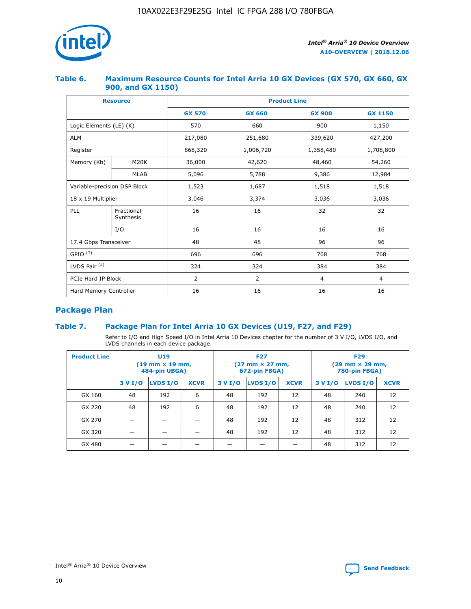

## **Table 6. Maximum Resource Counts for Intel Arria 10 GX Devices (GX 570, GX 660, GX 900, and GX 1150)**

|                              | <b>Resource</b>         | <b>Product Line</b> |               |                |                |  |  |  |  |
|------------------------------|-------------------------|---------------------|---------------|----------------|----------------|--|--|--|--|
|                              |                         | <b>GX 570</b>       | <b>GX 660</b> | <b>GX 900</b>  | <b>GX 1150</b> |  |  |  |  |
| Logic Elements (LE) (K)      |                         | 570                 | 660           | 900            | 1,150          |  |  |  |  |
| <b>ALM</b>                   |                         | 217,080             | 251,680       | 339,620        | 427,200        |  |  |  |  |
| Register                     |                         | 868,320             | 1,006,720     | 1,358,480      | 1,708,800      |  |  |  |  |
| Memory (Kb)                  | <b>M20K</b>             | 36,000              | 42,620        | 48,460         | 54,260         |  |  |  |  |
|                              | <b>MLAB</b>             | 5,096               | 5,788         | 9,386          | 12,984         |  |  |  |  |
| Variable-precision DSP Block |                         | 1,523               | 1,687         | 1,518          | 1,518          |  |  |  |  |
| $18 \times 19$ Multiplier    |                         | 3,046               | 3,374         | 3,036          | 3,036          |  |  |  |  |
| PLL                          | Fractional<br>Synthesis | 16                  | 16            | 32             | 32             |  |  |  |  |
|                              | I/O                     | 16                  | 16            | 16             | 16             |  |  |  |  |
| 17.4 Gbps Transceiver        |                         | 48                  | 96<br>48      |                | 96             |  |  |  |  |
| GPIO <sup>(3)</sup>          |                         | 696                 | 696           | 768            | 768            |  |  |  |  |
| LVDS Pair $(4)$              |                         | 324                 | 324<br>384    |                | 384            |  |  |  |  |
| PCIe Hard IP Block           |                         | 2                   | 2             | $\overline{4}$ | $\overline{4}$ |  |  |  |  |
| Hard Memory Controller       |                         | 16                  | 16            | 16             | 16             |  |  |  |  |

# **Package Plan**

# **Table 7. Package Plan for Intel Arria 10 GX Devices (U19, F27, and F29)**

Refer to I/O and High Speed I/O in Intel Arria 10 Devices chapter for the number of 3 V I/O, LVDS I/O, and LVDS channels in each device package.

| <b>Product Line</b> | U <sub>19</sub><br>$(19 \text{ mm} \times 19 \text{ mm})$<br>484-pin UBGA) |          |             | <b>F27</b><br>(27 mm × 27 mm,<br>672-pin FBGA) |                 |             | <b>F29</b><br>(29 mm × 29 mm,<br>780-pin FBGA) |          |             |  |
|---------------------|----------------------------------------------------------------------------|----------|-------------|------------------------------------------------|-----------------|-------------|------------------------------------------------|----------|-------------|--|
|                     | 3 V I/O                                                                    | LVDS I/O | <b>XCVR</b> | 3 V I/O                                        | <b>LVDS I/O</b> | <b>XCVR</b> | 3 V I/O                                        | LVDS I/O | <b>XCVR</b> |  |
| GX 160              | 48                                                                         | 192      | 6           | 48                                             | 192             | 12          | 48                                             | 240      | 12          |  |
| GX 220              | 48                                                                         | 192      | 6           | 48                                             | 192             | 12          | 48                                             | 240      | 12          |  |
| GX 270              |                                                                            |          |             | 48                                             | 192             | 12          | 48                                             | 312      | 12          |  |
| GX 320              |                                                                            |          |             | 48                                             | 192             | 12          | 48                                             | 312      | 12          |  |
| GX 480              |                                                                            |          |             |                                                |                 |             | 48                                             | 312      | 12          |  |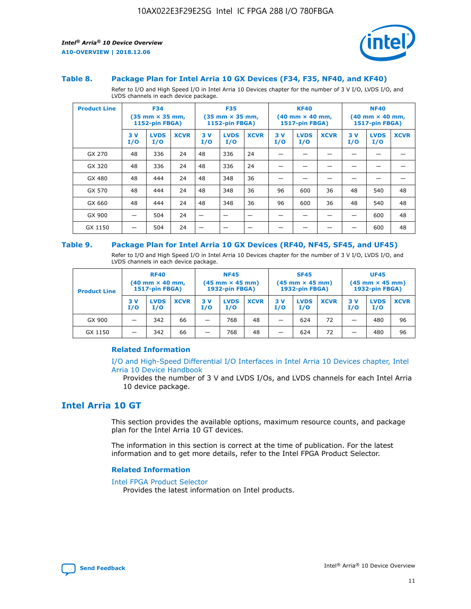

#### **Table 8. Package Plan for Intel Arria 10 GX Devices (F34, F35, NF40, and KF40)**

Refer to I/O and High Speed I/O in Intel Arria 10 Devices chapter for the number of 3 V I/O, LVDS I/O, and LVDS channels in each device package.

| <b>Product Line</b> | <b>F34</b><br>$(35 \text{ mm} \times 35 \text{ mm})$<br>1152-pin FBGA) |                    | <b>F35</b><br>$(35 \text{ mm} \times 35 \text{ mm})$<br><b>1152-pin FBGA)</b> |           | <b>KF40</b><br>$(40 \text{ mm} \times 40 \text{ mm})$<br>1517-pin FBGA) |             |            | <b>NF40</b><br>$(40 \text{ mm} \times 40 \text{ mm})$<br><b>1517-pin FBGA)</b> |             |            |                    |             |
|---------------------|------------------------------------------------------------------------|--------------------|-------------------------------------------------------------------------------|-----------|-------------------------------------------------------------------------|-------------|------------|--------------------------------------------------------------------------------|-------------|------------|--------------------|-------------|
|                     | 3V<br>I/O                                                              | <b>LVDS</b><br>I/O | <b>XCVR</b>                                                                   | 3V<br>I/O | <b>LVDS</b><br>I/O                                                      | <b>XCVR</b> | 3 V<br>I/O | <b>LVDS</b><br>I/O                                                             | <b>XCVR</b> | 3 V<br>I/O | <b>LVDS</b><br>I/O | <b>XCVR</b> |
| GX 270              | 48                                                                     | 336                | 24                                                                            | 48        | 336                                                                     | 24          |            |                                                                                |             |            |                    |             |
| GX 320              | 48                                                                     | 336                | 24                                                                            | 48        | 336                                                                     | 24          |            |                                                                                |             |            |                    |             |
| GX 480              | 48                                                                     | 444                | 24                                                                            | 48        | 348                                                                     | 36          |            |                                                                                |             |            |                    |             |
| GX 570              | 48                                                                     | 444                | 24                                                                            | 48        | 348                                                                     | 36          | 96         | 600                                                                            | 36          | 48         | 540                | 48          |
| GX 660              | 48                                                                     | 444                | 24                                                                            | 48        | 348                                                                     | 36          | 96         | 600                                                                            | 36          | 48         | 540                | 48          |
| GX 900              |                                                                        | 504                | 24                                                                            | -         |                                                                         |             |            |                                                                                |             |            | 600                | 48          |
| GX 1150             |                                                                        | 504                | 24                                                                            |           |                                                                         |             |            |                                                                                |             |            | 600                | 48          |

#### **Table 9. Package Plan for Intel Arria 10 GX Devices (RF40, NF45, SF45, and UF45)**

Refer to I/O and High Speed I/O in Intel Arria 10 Devices chapter for the number of 3 V I/O, LVDS I/O, and LVDS channels in each device package.

| <b>Product Line</b> | <b>RF40</b><br>$(40$ mm $\times$ 40 mm,<br>1517-pin FBGA) |                    |             | <b>NF45</b><br>$(45 \text{ mm} \times 45 \text{ mm})$<br><b>1932-pin FBGA)</b> |                    |             | <b>SF45</b><br>$(45 \text{ mm} \times 45 \text{ mm})$<br><b>1932-pin FBGA)</b> |                    |             | <b>UF45</b><br>$(45 \text{ mm} \times 45 \text{ mm})$<br><b>1932-pin FBGA)</b> |                    |             |
|---------------------|-----------------------------------------------------------|--------------------|-------------|--------------------------------------------------------------------------------|--------------------|-------------|--------------------------------------------------------------------------------|--------------------|-------------|--------------------------------------------------------------------------------|--------------------|-------------|
|                     | 3V<br>I/O                                                 | <b>LVDS</b><br>I/O | <b>XCVR</b> | 3 V<br>I/O                                                                     | <b>LVDS</b><br>I/O | <b>XCVR</b> | 3 V<br>I/O                                                                     | <b>LVDS</b><br>I/O | <b>XCVR</b> | 3V<br>I/O                                                                      | <b>LVDS</b><br>I/O | <b>XCVR</b> |
| GX 900              |                                                           | 342                | 66          | _                                                                              | 768                | 48          |                                                                                | 624                | 72          |                                                                                | 480                | 96          |
| GX 1150             |                                                           | 342                | 66          | _                                                                              | 768                | 48          |                                                                                | 624                | 72          |                                                                                | 480                | 96          |

## **Related Information**

[I/O and High-Speed Differential I/O Interfaces in Intel Arria 10 Devices chapter, Intel](https://www.intel.com/content/www/us/en/programmable/documentation/sam1403482614086.html#sam1403482030321) [Arria 10 Device Handbook](https://www.intel.com/content/www/us/en/programmable/documentation/sam1403482614086.html#sam1403482030321)

Provides the number of 3 V and LVDS I/Os, and LVDS channels for each Intel Arria 10 device package.

# **Intel Arria 10 GT**

This section provides the available options, maximum resource counts, and package plan for the Intel Arria 10 GT devices.

The information in this section is correct at the time of publication. For the latest information and to get more details, refer to the Intel FPGA Product Selector.

#### **Related Information**

#### [Intel FPGA Product Selector](http://www.altera.com/products/selector/psg-selector.html)

Provides the latest information on Intel products.

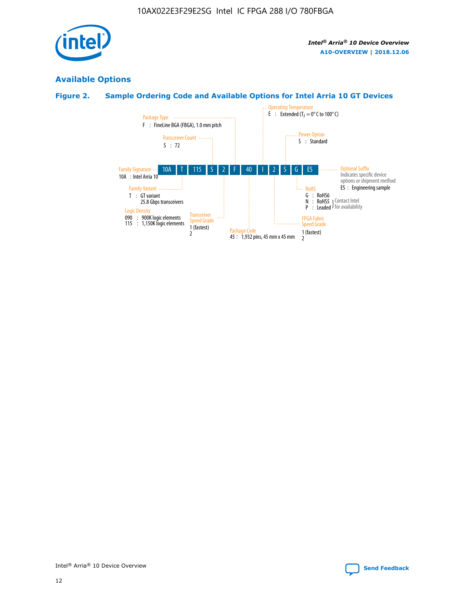

# **Available Options**

# **Figure 2. Sample Ordering Code and Available Options for Intel Arria 10 GT Devices**

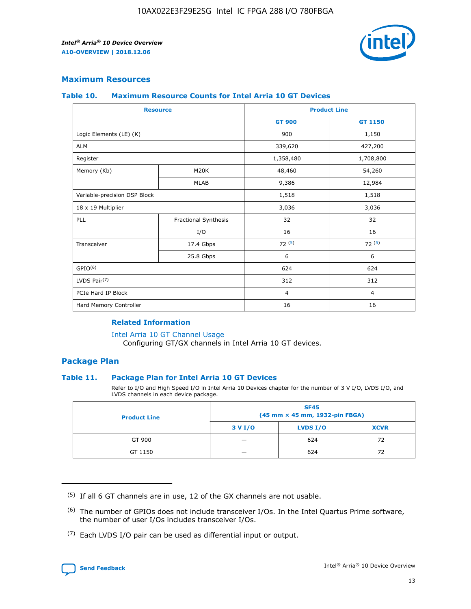

## **Maximum Resources**

#### **Table 10. Maximum Resource Counts for Intel Arria 10 GT Devices**

| <b>Resource</b>              |                      |                | <b>Product Line</b> |  |
|------------------------------|----------------------|----------------|---------------------|--|
|                              |                      | <b>GT 900</b>  | GT 1150             |  |
| Logic Elements (LE) (K)      |                      | 900            | 1,150               |  |
| <b>ALM</b>                   |                      | 339,620        | 427,200             |  |
| Register                     |                      | 1,358,480      | 1,708,800           |  |
| Memory (Kb)                  | M20K                 | 48,460         | 54,260              |  |
|                              | <b>MLAB</b>          | 9,386          | 12,984              |  |
| Variable-precision DSP Block |                      | 1,518          | 1,518               |  |
| 18 x 19 Multiplier           |                      | 3,036          | 3,036               |  |
| PLL                          | Fractional Synthesis | 32             | 32                  |  |
|                              | I/O                  | 16             | 16                  |  |
| Transceiver                  | 17.4 Gbps            | 72(5)          | 72(5)               |  |
|                              | 25.8 Gbps            | 6              | 6                   |  |
| GPIO <sup>(6)</sup>          |                      | 624            | 624                 |  |
| LVDS Pair $(7)$              |                      | 312            | 312                 |  |
| PCIe Hard IP Block           |                      | $\overline{4}$ | $\overline{4}$      |  |
| Hard Memory Controller       |                      | 16             | 16                  |  |

## **Related Information**

#### [Intel Arria 10 GT Channel Usage](https://www.intel.com/content/www/us/en/programmable/documentation/nik1398707230472.html#nik1398707008178)

Configuring GT/GX channels in Intel Arria 10 GT devices.

## **Package Plan**

#### **Table 11. Package Plan for Intel Arria 10 GT Devices**

Refer to I/O and High Speed I/O in Intel Arria 10 Devices chapter for the number of 3 V I/O, LVDS I/O, and LVDS channels in each device package.

| <b>Product Line</b> | <b>SF45</b><br>(45 mm × 45 mm, 1932-pin FBGA) |                 |             |  |  |  |
|---------------------|-----------------------------------------------|-----------------|-------------|--|--|--|
|                     | 3 V I/O                                       | <b>LVDS I/O</b> | <b>XCVR</b> |  |  |  |
| GT 900              |                                               | 624             | 72          |  |  |  |
| GT 1150             |                                               | 624             | 72          |  |  |  |

<sup>(7)</sup> Each LVDS I/O pair can be used as differential input or output.



 $(5)$  If all 6 GT channels are in use, 12 of the GX channels are not usable.

<sup>(6)</sup> The number of GPIOs does not include transceiver I/Os. In the Intel Quartus Prime software, the number of user I/Os includes transceiver I/Os.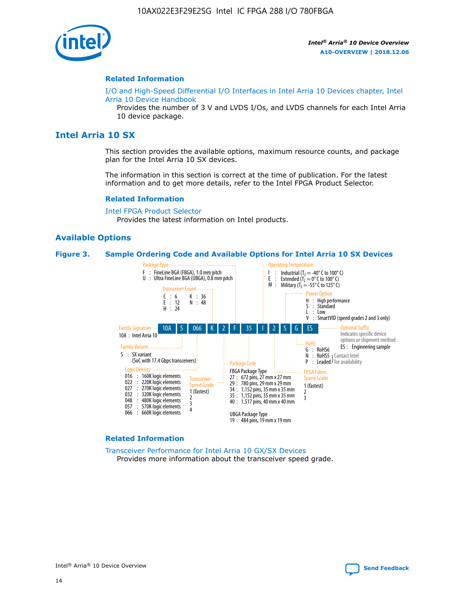

#### **Related Information**

[I/O and High-Speed Differential I/O Interfaces in Intel Arria 10 Devices chapter, Intel](https://www.intel.com/content/www/us/en/programmable/documentation/sam1403482614086.html#sam1403482030321) [Arria 10 Device Handbook](https://www.intel.com/content/www/us/en/programmable/documentation/sam1403482614086.html#sam1403482030321)

Provides the number of 3 V and LVDS I/Os, and LVDS channels for each Intel Arria 10 device package.

# **Intel Arria 10 SX**

This section provides the available options, maximum resource counts, and package plan for the Intel Arria 10 SX devices.

The information in this section is correct at the time of publication. For the latest information and to get more details, refer to the Intel FPGA Product Selector.

#### **Related Information**

[Intel FPGA Product Selector](http://www.altera.com/products/selector/psg-selector.html) Provides the latest information on Intel products.

#### **Available Options**

#### **Figure 3. Sample Ordering Code and Available Options for Intel Arria 10 SX Devices**



#### **Related Information**

[Transceiver Performance for Intel Arria 10 GX/SX Devices](https://www.intel.com/content/www/us/en/programmable/documentation/mcn1413182292568.html#mcn1413213965502) Provides more information about the transceiver speed grade.

Intel® Arria® 10 Device Overview **[Send Feedback](mailto:FPGAtechdocfeedback@intel.com?subject=Feedback%20on%20Intel%20Arria%2010%20Device%20Overview%20(A10-OVERVIEW%202018.12.06)&body=We%20appreciate%20your%20feedback.%20In%20your%20comments,%20also%20specify%20the%20page%20number%20or%20paragraph.%20Thank%20you.)**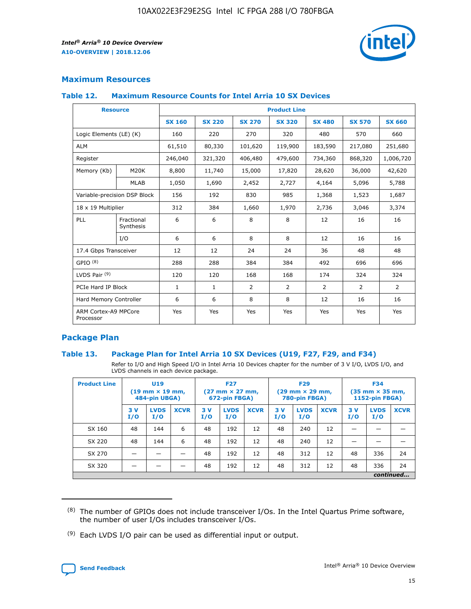

# **Maximum Resources**

#### **Table 12. Maximum Resource Counts for Intel Arria 10 SX Devices**

|                                   | <b>Resource</b>         | <b>Product Line</b> |               |                |                |                |                |                |  |  |  |
|-----------------------------------|-------------------------|---------------------|---------------|----------------|----------------|----------------|----------------|----------------|--|--|--|
|                                   |                         | <b>SX 160</b>       | <b>SX 220</b> | <b>SX 270</b>  | <b>SX 320</b>  | <b>SX 480</b>  | <b>SX 570</b>  | <b>SX 660</b>  |  |  |  |
| Logic Elements (LE) (K)           |                         | 160                 | 220           | 270            | 320            | 480            | 570            | 660            |  |  |  |
| <b>ALM</b>                        |                         | 61,510              | 80,330        | 101,620        | 119,900        | 183,590        | 217,080        | 251,680        |  |  |  |
| Register                          |                         | 246,040             | 321,320       | 406,480        | 479,600        | 734,360        | 868,320        | 1,006,720      |  |  |  |
| Memory (Kb)                       | M <sub>20</sub> K       | 8,800               | 11,740        | 15,000         | 17,820         | 28,620         | 36,000         | 42,620         |  |  |  |
|                                   | <b>MLAB</b>             | 1,050               | 1,690         | 2,452          | 2,727          | 4,164          | 5,096          | 5,788          |  |  |  |
| Variable-precision DSP Block      |                         | 156                 | 192           | 830            | 985            | 1,368          | 1,523          | 1,687          |  |  |  |
| 18 x 19 Multiplier                |                         | 312                 | 384           | 1,660          | 1,970          | 2,736          | 3,046          | 3,374          |  |  |  |
| <b>PLL</b>                        | Fractional<br>Synthesis | 6                   | 6             | 8              | 8              | 12             | 16             | 16             |  |  |  |
|                                   | I/O                     | 6                   | 6             | 8              | 8              | 12             | 16             | 16             |  |  |  |
| 17.4 Gbps Transceiver             |                         | 12                  | 12            | 24             | 24             | 36             | 48             | 48             |  |  |  |
| GPIO <sup>(8)</sup>               |                         | 288                 | 288           | 384            | 384            | 492            | 696            | 696            |  |  |  |
| LVDS Pair $(9)$                   |                         | 120                 | 120           | 168            | 168            | 174            | 324            | 324            |  |  |  |
| PCIe Hard IP Block                |                         | $\mathbf{1}$        | $\mathbf{1}$  | $\overline{2}$ | $\overline{2}$ | $\overline{2}$ | $\overline{2}$ | $\overline{2}$ |  |  |  |
| Hard Memory Controller            |                         | 6                   | 6             | 8              | 8              | 12             | 16             | 16             |  |  |  |
| ARM Cortex-A9 MPCore<br>Processor |                         | Yes                 | Yes           | Yes            | Yes            | Yes            | Yes            | Yes            |  |  |  |

# **Package Plan**

#### **Table 13. Package Plan for Intel Arria 10 SX Devices (U19, F27, F29, and F34)**

Refer to I/O and High Speed I/O in Intel Arria 10 Devices chapter for the number of 3 V I/O, LVDS I/O, and LVDS channels in each device package.

| <b>Product Line</b> | U19<br>$(19 \text{ mm} \times 19 \text{ mm})$<br>484-pin UBGA) |                    |             | <b>F27</b><br>$(27 \text{ mm} \times 27 \text{ mm})$ .<br>672-pin FBGA) |                    | <b>F29</b><br>$(29 \text{ mm} \times 29 \text{ mm})$ .<br>780-pin FBGA) |            |                    | <b>F34</b><br>$(35 \text{ mm} \times 35 \text{ mm})$<br><b>1152-pin FBGA)</b> |           |                    |             |
|---------------------|----------------------------------------------------------------|--------------------|-------------|-------------------------------------------------------------------------|--------------------|-------------------------------------------------------------------------|------------|--------------------|-------------------------------------------------------------------------------|-----------|--------------------|-------------|
|                     | 3V<br>I/O                                                      | <b>LVDS</b><br>I/O | <b>XCVR</b> | 3V<br>I/O                                                               | <b>LVDS</b><br>I/O | <b>XCVR</b>                                                             | 3 V<br>I/O | <b>LVDS</b><br>I/O | <b>XCVR</b>                                                                   | 3V<br>I/O | <b>LVDS</b><br>I/O | <b>XCVR</b> |
| SX 160              | 48                                                             | 144                | 6           | 48                                                                      | 192                | 12                                                                      | 48         | 240                | 12                                                                            |           |                    |             |
| SX 220              | 48                                                             | 144                | 6           | 48                                                                      | 192                | 12                                                                      | 48         | 240                | 12                                                                            |           |                    |             |
| SX 270              |                                                                |                    |             | 48                                                                      | 192                | 12                                                                      | 48         | 312                | 12                                                                            | 48        | 336                | 24          |
| SX 320              |                                                                |                    |             | 48                                                                      | 192                | 12                                                                      | 48         | 312                | 12                                                                            | 48        | 336                | 24          |
|                     | continued                                                      |                    |             |                                                                         |                    |                                                                         |            |                    |                                                                               |           |                    |             |

 $(8)$  The number of GPIOs does not include transceiver I/Os. In the Intel Quartus Prime software, the number of user I/Os includes transceiver I/Os.

 $(9)$  Each LVDS I/O pair can be used as differential input or output.

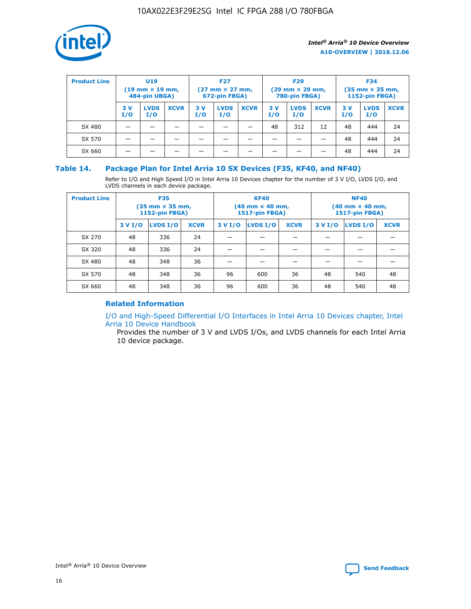

| <b>Product Line</b> | U <sub>19</sub><br>$(19 \text{ mm} \times 19 \text{ mm})$<br>484-pin UBGA) |                    | <b>F27</b><br>$(27 \text{ mm} \times 27 \text{ mm})$<br>672-pin FBGA) |           | <b>F29</b><br>$(29 \text{ mm} \times 29 \text{ mm})$<br>780-pin FBGA) |             |           | <b>F34</b><br>$(35$ mm $\times$ 35 mm,<br><b>1152-pin FBGA)</b> |             |           |                    |             |
|---------------------|----------------------------------------------------------------------------|--------------------|-----------------------------------------------------------------------|-----------|-----------------------------------------------------------------------|-------------|-----------|-----------------------------------------------------------------|-------------|-----------|--------------------|-------------|
|                     | 3V<br>I/O                                                                  | <b>LVDS</b><br>I/O | <b>XCVR</b>                                                           | 3V<br>I/O | <b>LVDS</b><br>I/O                                                    | <b>XCVR</b> | 3V<br>I/O | <b>LVDS</b><br>I/O                                              | <b>XCVR</b> | 3V<br>I/O | <b>LVDS</b><br>I/O | <b>XCVR</b> |
| SX 480              |                                                                            |                    |                                                                       |           |                                                                       |             | 48        | 312                                                             | 12          | 48        | 444                | 24          |
| SX 570              |                                                                            |                    |                                                                       |           |                                                                       |             |           |                                                                 |             | 48        | 444                | 24          |
| SX 660              |                                                                            |                    |                                                                       |           |                                                                       |             |           |                                                                 |             | 48        | 444                | 24          |

## **Table 14. Package Plan for Intel Arria 10 SX Devices (F35, KF40, and NF40)**

Refer to I/O and High Speed I/O in Intel Arria 10 Devices chapter for the number of 3 V I/O, LVDS I/O, and LVDS channels in each device package.

| <b>Product Line</b> | <b>F35</b><br>$(35 \text{ mm} \times 35 \text{ mm})$<br><b>1152-pin FBGA)</b> |          |             |                                           | <b>KF40</b><br>(40 mm × 40 mm,<br>1517-pin FBGA) |    | <b>NF40</b><br>$(40 \text{ mm} \times 40 \text{ mm})$<br>1517-pin FBGA) |          |             |  |
|---------------------|-------------------------------------------------------------------------------|----------|-------------|-------------------------------------------|--------------------------------------------------|----|-------------------------------------------------------------------------|----------|-------------|--|
|                     | 3 V I/O                                                                       | LVDS I/O | <b>XCVR</b> | <b>LVDS I/O</b><br><b>XCVR</b><br>3 V I/O |                                                  |    | 3 V I/O                                                                 | LVDS I/O | <b>XCVR</b> |  |
| SX 270              | 48                                                                            | 336      | 24          |                                           |                                                  |    |                                                                         |          |             |  |
| SX 320              | 48                                                                            | 336      | 24          |                                           |                                                  |    |                                                                         |          |             |  |
| SX 480              | 48                                                                            | 348      | 36          |                                           |                                                  |    |                                                                         |          |             |  |
| SX 570              | 48                                                                            | 348      | 36          | 96                                        | 600                                              | 36 | 48                                                                      | 540      | 48          |  |
| SX 660              | 48                                                                            | 348      | 36          | 96                                        | 600                                              | 36 | 48                                                                      | 540      | 48          |  |

# **Related Information**

[I/O and High-Speed Differential I/O Interfaces in Intel Arria 10 Devices chapter, Intel](https://www.intel.com/content/www/us/en/programmable/documentation/sam1403482614086.html#sam1403482030321) [Arria 10 Device Handbook](https://www.intel.com/content/www/us/en/programmable/documentation/sam1403482614086.html#sam1403482030321)

Provides the number of 3 V and LVDS I/Os, and LVDS channels for each Intel Arria 10 device package.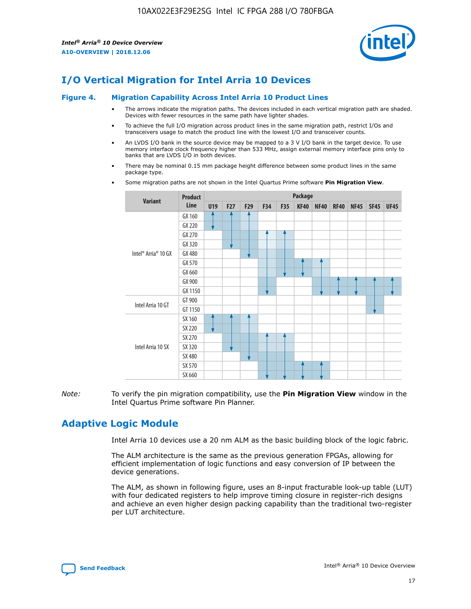

# **I/O Vertical Migration for Intel Arria 10 Devices**

#### **Figure 4. Migration Capability Across Intel Arria 10 Product Lines**

- The arrows indicate the migration paths. The devices included in each vertical migration path are shaded. Devices with fewer resources in the same path have lighter shades.
- To achieve the full I/O migration across product lines in the same migration path, restrict I/Os and transceivers usage to match the product line with the lowest I/O and transceiver counts.
- An LVDS I/O bank in the source device may be mapped to a 3 V I/O bank in the target device. To use memory interface clock frequency higher than 533 MHz, assign external memory interface pins only to banks that are LVDS I/O in both devices.
- There may be nominal 0.15 mm package height difference between some product lines in the same package type.
	- **Variant Product Line Package U19 F27 F29 F34 F35 KF40 NF40 RF40 NF45 SF45 UF45** Intel® Arria® 10 GX GX 160 GX 220 GX 270 GX 320 GX 480 GX 570 GX 660 GX 900 GX 1150 Intel Arria 10 GT GT 900 GT 1150 Intel Arria 10 SX SX 160 SX 220 SX 270 SX 320 SX 480 SX 570 SX 660
- Some migration paths are not shown in the Intel Quartus Prime software **Pin Migration View**.

*Note:* To verify the pin migration compatibility, use the **Pin Migration View** window in the Intel Quartus Prime software Pin Planner.

# **Adaptive Logic Module**

Intel Arria 10 devices use a 20 nm ALM as the basic building block of the logic fabric.

The ALM architecture is the same as the previous generation FPGAs, allowing for efficient implementation of logic functions and easy conversion of IP between the device generations.

The ALM, as shown in following figure, uses an 8-input fracturable look-up table (LUT) with four dedicated registers to help improve timing closure in register-rich designs and achieve an even higher design packing capability than the traditional two-register per LUT architecture.

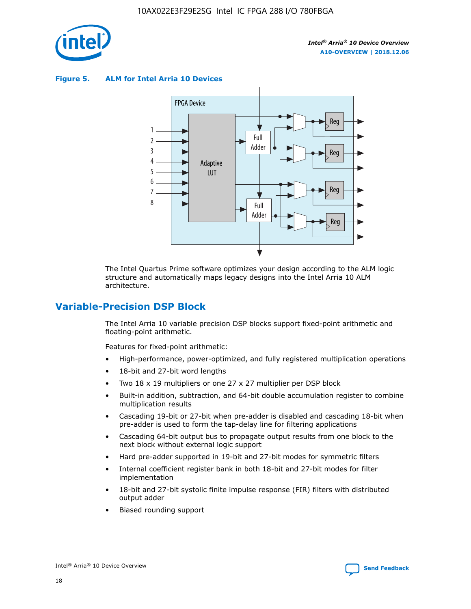

**Figure 5. ALM for Intel Arria 10 Devices**



The Intel Quartus Prime software optimizes your design according to the ALM logic structure and automatically maps legacy designs into the Intel Arria 10 ALM architecture.

# **Variable-Precision DSP Block**

The Intel Arria 10 variable precision DSP blocks support fixed-point arithmetic and floating-point arithmetic.

Features for fixed-point arithmetic:

- High-performance, power-optimized, and fully registered multiplication operations
- 18-bit and 27-bit word lengths
- Two 18 x 19 multipliers or one 27 x 27 multiplier per DSP block
- Built-in addition, subtraction, and 64-bit double accumulation register to combine multiplication results
- Cascading 19-bit or 27-bit when pre-adder is disabled and cascading 18-bit when pre-adder is used to form the tap-delay line for filtering applications
- Cascading 64-bit output bus to propagate output results from one block to the next block without external logic support
- Hard pre-adder supported in 19-bit and 27-bit modes for symmetric filters
- Internal coefficient register bank in both 18-bit and 27-bit modes for filter implementation
- 18-bit and 27-bit systolic finite impulse response (FIR) filters with distributed output adder
- Biased rounding support

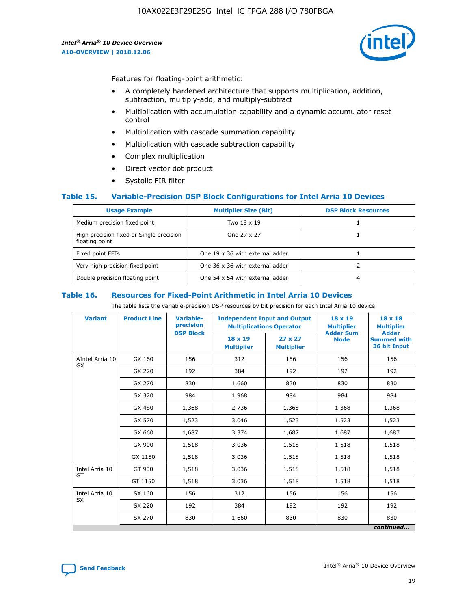

Features for floating-point arithmetic:

- A completely hardened architecture that supports multiplication, addition, subtraction, multiply-add, and multiply-subtract
- Multiplication with accumulation capability and a dynamic accumulator reset control
- Multiplication with cascade summation capability
- Multiplication with cascade subtraction capability
- Complex multiplication
- Direct vector dot product
- Systolic FIR filter

#### **Table 15. Variable-Precision DSP Block Configurations for Intel Arria 10 Devices**

| <b>Usage Example</b>                                       | <b>Multiplier Size (Bit)</b>    | <b>DSP Block Resources</b> |
|------------------------------------------------------------|---------------------------------|----------------------------|
| Medium precision fixed point                               | Two 18 x 19                     |                            |
| High precision fixed or Single precision<br>floating point | One 27 x 27                     |                            |
| Fixed point FFTs                                           | One 19 x 36 with external adder |                            |
| Very high precision fixed point                            | One 36 x 36 with external adder |                            |
| Double precision floating point                            | One 54 x 54 with external adder | 4                          |

#### **Table 16. Resources for Fixed-Point Arithmetic in Intel Arria 10 Devices**

The table lists the variable-precision DSP resources by bit precision for each Intel Arria 10 device.

| <b>Variant</b>  | <b>Product Line</b> | <b>Variable-</b><br>precision<br><b>DSP Block</b> | <b>Independent Input and Output</b><br><b>Multiplications Operator</b> |                                     | 18 x 19<br><b>Multiplier</b><br><b>Adder Sum</b> | $18 \times 18$<br><b>Multiplier</b><br><b>Adder</b> |
|-----------------|---------------------|---------------------------------------------------|------------------------------------------------------------------------|-------------------------------------|--------------------------------------------------|-----------------------------------------------------|
|                 |                     |                                                   | 18 x 19<br><b>Multiplier</b>                                           | $27 \times 27$<br><b>Multiplier</b> | <b>Mode</b>                                      | <b>Summed with</b><br>36 bit Input                  |
| AIntel Arria 10 | GX 160              | 156                                               | 312                                                                    | 156                                 | 156                                              | 156                                                 |
| GX              | GX 220              | 192                                               | 384                                                                    | 192                                 | 192                                              | 192                                                 |
|                 | GX 270              | 830                                               | 1,660                                                                  | 830                                 | 830                                              | 830                                                 |
|                 | GX 320              | 984                                               | 1,968                                                                  | 984                                 | 984                                              | 984                                                 |
|                 | GX 480              | 1,368                                             | 2,736                                                                  | 1,368                               | 1,368                                            | 1,368                                               |
|                 | GX 570              | 1,523                                             | 3,046                                                                  | 1,523                               | 1,523                                            | 1,523                                               |
|                 | GX 660              | 1,687                                             | 3,374                                                                  | 1,687                               | 1,687                                            | 1,687                                               |
|                 | GX 900              | 1,518                                             | 3,036                                                                  | 1,518                               | 1,518                                            | 1,518                                               |
|                 | GX 1150             | 1,518                                             | 3,036                                                                  | 1,518                               | 1,518                                            | 1,518                                               |
| Intel Arria 10  | GT 900              | 1,518                                             | 3,036                                                                  | 1,518                               | 1,518                                            | 1,518                                               |
| GT              | GT 1150             | 1,518                                             | 3,036                                                                  | 1,518                               | 1,518                                            | 1,518                                               |
| Intel Arria 10  | SX 160              | 156                                               | 312                                                                    | 156                                 | 156                                              | 156                                                 |
| <b>SX</b>       | SX 220              | 192                                               | 384                                                                    | 192                                 | 192                                              | 192                                                 |
|                 | SX 270              | 830                                               | 1,660                                                                  | 830                                 | 830                                              | 830                                                 |
|                 |                     |                                                   |                                                                        |                                     |                                                  | continued                                           |

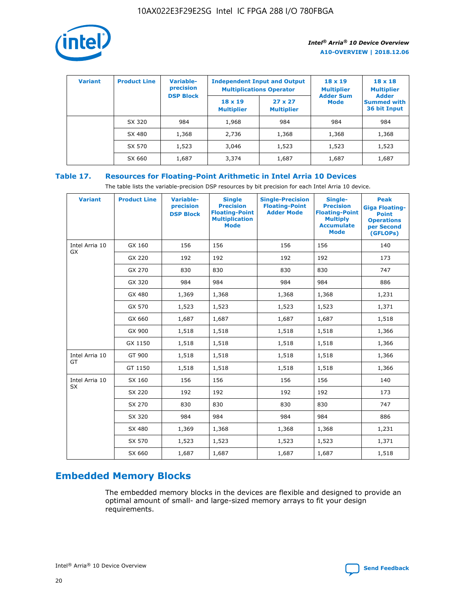

| <b>Variant</b> | <b>Product Line</b> | Variable-<br>precision | <b>Independent Input and Output</b><br><b>Multiplications Operator</b> |                                     | $18 \times 19$<br><b>Multiplier</b> | $18 \times 18$<br><b>Multiplier</b><br><b>Adder</b> |  |
|----------------|---------------------|------------------------|------------------------------------------------------------------------|-------------------------------------|-------------------------------------|-----------------------------------------------------|--|
|                |                     | <b>DSP Block</b>       | $18 \times 19$<br><b>Multiplier</b>                                    | $27 \times 27$<br><b>Multiplier</b> | <b>Adder Sum</b><br><b>Mode</b>     | <b>Summed with</b><br>36 bit Input                  |  |
|                | SX 320              | 984                    | 1,968                                                                  | 984                                 | 984                                 | 984                                                 |  |
|                | SX 480              | 1,368                  | 2,736                                                                  | 1,368                               | 1,368                               | 1,368                                               |  |
|                | SX 570              | 1,523                  | 3,046                                                                  | 1,523                               | 1,523                               | 1,523                                               |  |
|                | SX 660              | 1,687                  | 3,374                                                                  | 1,687                               | 1,687                               | 1,687                                               |  |

# **Table 17. Resources for Floating-Point Arithmetic in Intel Arria 10 Devices**

The table lists the variable-precision DSP resources by bit precision for each Intel Arria 10 device.

| <b>Variant</b> | <b>Product Line</b> | <b>Variable-</b><br>precision<br><b>DSP Block</b> | <b>Single</b><br><b>Precision</b><br><b>Floating-Point</b><br><b>Multiplication</b><br><b>Mode</b> | <b>Single-Precision</b><br><b>Floating-Point</b><br><b>Adder Mode</b> | Single-<br><b>Precision</b><br><b>Floating-Point</b><br><b>Multiply</b><br><b>Accumulate</b><br><b>Mode</b> | <b>Peak</b><br><b>Giga Floating-</b><br><b>Point</b><br><b>Operations</b><br>per Second<br>(GFLOPs) |
|----------------|---------------------|---------------------------------------------------|----------------------------------------------------------------------------------------------------|-----------------------------------------------------------------------|-------------------------------------------------------------------------------------------------------------|-----------------------------------------------------------------------------------------------------|
| Intel Arria 10 | GX 160              | 156                                               | 156                                                                                                | 156                                                                   | 156                                                                                                         | 140                                                                                                 |
| GX             | GX 220              | 192                                               | 192                                                                                                | 192                                                                   | 192                                                                                                         | 173                                                                                                 |
|                | GX 270              | 830                                               | 830                                                                                                | 830                                                                   | 830                                                                                                         | 747                                                                                                 |
|                | GX 320              | 984                                               | 984                                                                                                | 984                                                                   | 984                                                                                                         | 886                                                                                                 |
|                | GX 480              | 1,369                                             | 1,368                                                                                              | 1,368                                                                 | 1,368                                                                                                       | 1,231                                                                                               |
|                | GX 570              | 1,523                                             | 1,523                                                                                              | 1,523                                                                 | 1,523                                                                                                       | 1,371                                                                                               |
|                | GX 660              | 1,687                                             | 1,687                                                                                              | 1,687                                                                 | 1,687                                                                                                       | 1,518                                                                                               |
|                | GX 900              | 1,518                                             | 1,518                                                                                              | 1,518                                                                 | 1,518                                                                                                       | 1,366                                                                                               |
|                | GX 1150             | 1,518                                             | 1,518                                                                                              | 1,518                                                                 | 1,518                                                                                                       | 1,366                                                                                               |
| Intel Arria 10 | GT 900              | 1,518                                             | 1,518                                                                                              | 1,518                                                                 | 1,518                                                                                                       | 1,366                                                                                               |
| GT             | GT 1150             | 1,518                                             | 1,518                                                                                              | 1,518                                                                 | 1,518                                                                                                       | 1,366                                                                                               |
| Intel Arria 10 | SX 160              | 156                                               | 156                                                                                                | 156                                                                   | 156                                                                                                         | 140                                                                                                 |
| <b>SX</b>      | SX 220              | 192                                               | 192                                                                                                | 192                                                                   | 192                                                                                                         | 173                                                                                                 |
|                | SX 270              | 830                                               | 830                                                                                                | 830                                                                   | 830                                                                                                         | 747                                                                                                 |
|                | SX 320              | 984                                               | 984                                                                                                | 984                                                                   | 984                                                                                                         | 886                                                                                                 |
|                | SX 480              | 1,369                                             | 1,368                                                                                              | 1,368                                                                 | 1,368                                                                                                       | 1,231                                                                                               |
|                | SX 570              | 1,523                                             | 1,523                                                                                              | 1,523                                                                 | 1,523                                                                                                       | 1,371                                                                                               |
|                | SX 660              | 1,687                                             | 1,687                                                                                              | 1,687                                                                 | 1,687                                                                                                       | 1,518                                                                                               |

# **Embedded Memory Blocks**

The embedded memory blocks in the devices are flexible and designed to provide an optimal amount of small- and large-sized memory arrays to fit your design requirements.

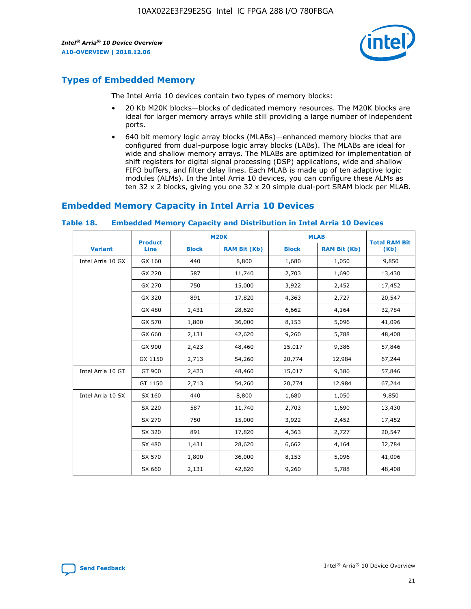

# **Types of Embedded Memory**

The Intel Arria 10 devices contain two types of memory blocks:

- 20 Kb M20K blocks—blocks of dedicated memory resources. The M20K blocks are ideal for larger memory arrays while still providing a large number of independent ports.
- 640 bit memory logic array blocks (MLABs)—enhanced memory blocks that are configured from dual-purpose logic array blocks (LABs). The MLABs are ideal for wide and shallow memory arrays. The MLABs are optimized for implementation of shift registers for digital signal processing (DSP) applications, wide and shallow FIFO buffers, and filter delay lines. Each MLAB is made up of ten adaptive logic modules (ALMs). In the Intel Arria 10 devices, you can configure these ALMs as ten 32 x 2 blocks, giving you one 32 x 20 simple dual-port SRAM block per MLAB.

# **Embedded Memory Capacity in Intel Arria 10 Devices**

|                   | <b>Product</b> |              | <b>M20K</b>         | <b>MLAB</b>  |                     | <b>Total RAM Bit</b> |
|-------------------|----------------|--------------|---------------------|--------------|---------------------|----------------------|
| <b>Variant</b>    | <b>Line</b>    | <b>Block</b> | <b>RAM Bit (Kb)</b> | <b>Block</b> | <b>RAM Bit (Kb)</b> | (Kb)                 |
| Intel Arria 10 GX | GX 160         | 440          | 8,800               | 1,680        | 1,050               | 9,850                |
|                   | GX 220         | 587          | 11,740              | 2,703        | 1,690               | 13,430               |
|                   | GX 270         | 750          | 15,000              | 3,922        | 2,452               | 17,452               |
|                   | GX 320         | 891          | 17,820              | 4,363        | 2,727               | 20,547               |
|                   | GX 480         | 1,431        | 28,620              | 6,662        | 4,164               | 32,784               |
|                   | GX 570         | 1,800        | 36,000              | 8,153        | 5,096               | 41,096               |
|                   | GX 660         | 2,131        | 42,620              | 9,260        | 5,788               | 48,408               |
|                   | GX 900         | 2,423        | 48,460              | 15,017       | 9,386               | 57,846               |
|                   | GX 1150        | 2,713        | 54,260              | 20,774       | 12,984              | 67,244               |
| Intel Arria 10 GT | GT 900         | 2,423        | 48,460              | 15,017       | 9,386               | 57,846               |
|                   | GT 1150        | 2,713        | 54,260              | 20,774       | 12,984              | 67,244               |
| Intel Arria 10 SX | SX 160         | 440          | 8,800               | 1,680        | 1,050               | 9,850                |
|                   | SX 220         | 587          | 11,740              | 2,703        | 1,690               | 13,430               |
|                   | SX 270         | 750          | 15,000              | 3,922        | 2,452               | 17,452               |
|                   | SX 320         | 891          | 17,820              | 4,363        | 2,727               | 20,547               |
|                   | SX 480         | 1,431        | 28,620              | 6,662        | 4,164               | 32,784               |
|                   | SX 570         | 1,800        | 36,000              | 8,153        | 5,096               | 41,096               |
|                   | SX 660         | 2,131        | 42,620              | 9,260        | 5,788               | 48,408               |

#### **Table 18. Embedded Memory Capacity and Distribution in Intel Arria 10 Devices**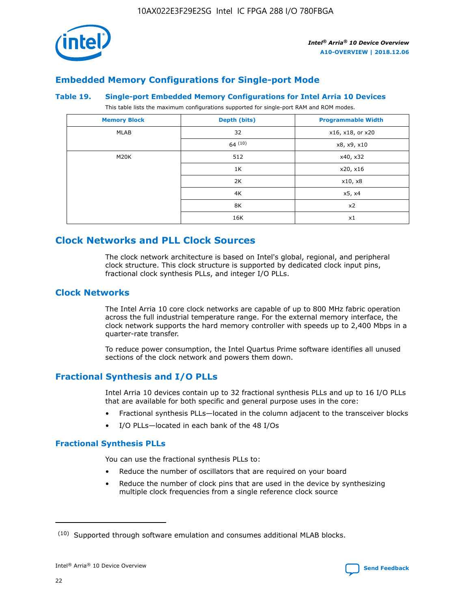

# **Embedded Memory Configurations for Single-port Mode**

#### **Table 19. Single-port Embedded Memory Configurations for Intel Arria 10 Devices**

This table lists the maximum configurations supported for single-port RAM and ROM modes.

| <b>Memory Block</b> | Depth (bits) | <b>Programmable Width</b> |
|---------------------|--------------|---------------------------|
| MLAB                | 32           | x16, x18, or x20          |
|                     | 64(10)       | x8, x9, x10               |
| M20K                | 512          | x40, x32                  |
|                     | 1K           | x20, x16                  |
|                     | 2K           | x10, x8                   |
|                     | 4K           | x5, x4                    |
|                     | 8K           | x2                        |
|                     | 16K          | x1                        |

# **Clock Networks and PLL Clock Sources**

The clock network architecture is based on Intel's global, regional, and peripheral clock structure. This clock structure is supported by dedicated clock input pins, fractional clock synthesis PLLs, and integer I/O PLLs.

# **Clock Networks**

The Intel Arria 10 core clock networks are capable of up to 800 MHz fabric operation across the full industrial temperature range. For the external memory interface, the clock network supports the hard memory controller with speeds up to 2,400 Mbps in a quarter-rate transfer.

To reduce power consumption, the Intel Quartus Prime software identifies all unused sections of the clock network and powers them down.

# **Fractional Synthesis and I/O PLLs**

Intel Arria 10 devices contain up to 32 fractional synthesis PLLs and up to 16 I/O PLLs that are available for both specific and general purpose uses in the core:

- Fractional synthesis PLLs—located in the column adjacent to the transceiver blocks
- I/O PLLs—located in each bank of the 48 I/Os

# **Fractional Synthesis PLLs**

You can use the fractional synthesis PLLs to:

- Reduce the number of oscillators that are required on your board
- Reduce the number of clock pins that are used in the device by synthesizing multiple clock frequencies from a single reference clock source

<sup>(10)</sup> Supported through software emulation and consumes additional MLAB blocks.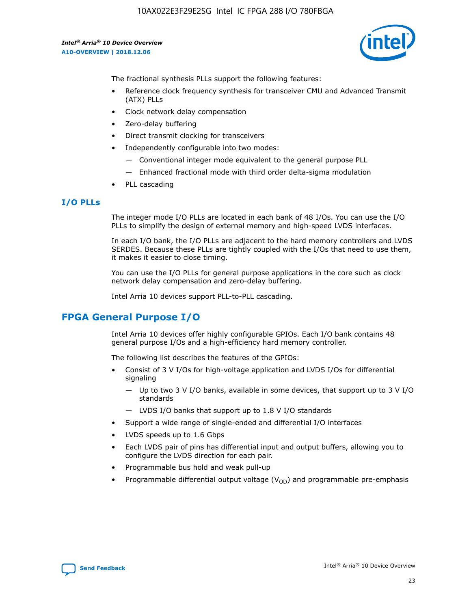

The fractional synthesis PLLs support the following features:

- Reference clock frequency synthesis for transceiver CMU and Advanced Transmit (ATX) PLLs
- Clock network delay compensation
- Zero-delay buffering
- Direct transmit clocking for transceivers
- Independently configurable into two modes:
	- Conventional integer mode equivalent to the general purpose PLL
	- Enhanced fractional mode with third order delta-sigma modulation
- PLL cascading

#### **I/O PLLs**

The integer mode I/O PLLs are located in each bank of 48 I/Os. You can use the I/O PLLs to simplify the design of external memory and high-speed LVDS interfaces.

In each I/O bank, the I/O PLLs are adjacent to the hard memory controllers and LVDS SERDES. Because these PLLs are tightly coupled with the I/Os that need to use them, it makes it easier to close timing.

You can use the I/O PLLs for general purpose applications in the core such as clock network delay compensation and zero-delay buffering.

Intel Arria 10 devices support PLL-to-PLL cascading.

# **FPGA General Purpose I/O**

Intel Arria 10 devices offer highly configurable GPIOs. Each I/O bank contains 48 general purpose I/Os and a high-efficiency hard memory controller.

The following list describes the features of the GPIOs:

- Consist of 3 V I/Os for high-voltage application and LVDS I/Os for differential signaling
	- Up to two 3 V I/O banks, available in some devices, that support up to 3 V I/O standards
	- LVDS I/O banks that support up to 1.8 V I/O standards
- Support a wide range of single-ended and differential I/O interfaces
- LVDS speeds up to 1.6 Gbps
- Each LVDS pair of pins has differential input and output buffers, allowing you to configure the LVDS direction for each pair.
- Programmable bus hold and weak pull-up
- Programmable differential output voltage  $(V_{OD})$  and programmable pre-emphasis

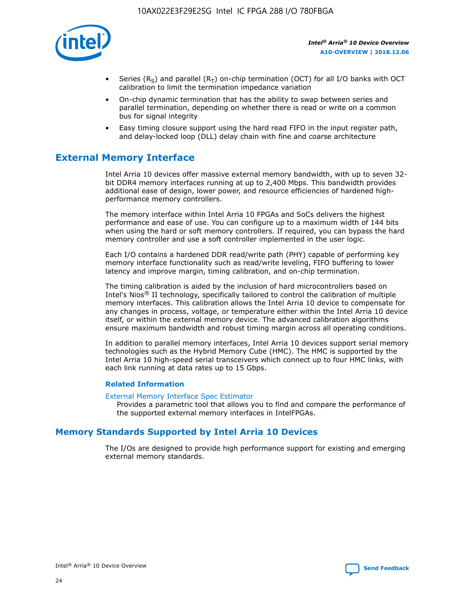

- Series (R<sub>S</sub>) and parallel (R<sub>T</sub>) on-chip termination (OCT) for all I/O banks with OCT calibration to limit the termination impedance variation
- On-chip dynamic termination that has the ability to swap between series and parallel termination, depending on whether there is read or write on a common bus for signal integrity
- Easy timing closure support using the hard read FIFO in the input register path, and delay-locked loop (DLL) delay chain with fine and coarse architecture

# **External Memory Interface**

Intel Arria 10 devices offer massive external memory bandwidth, with up to seven 32 bit DDR4 memory interfaces running at up to 2,400 Mbps. This bandwidth provides additional ease of design, lower power, and resource efficiencies of hardened highperformance memory controllers.

The memory interface within Intel Arria 10 FPGAs and SoCs delivers the highest performance and ease of use. You can configure up to a maximum width of 144 bits when using the hard or soft memory controllers. If required, you can bypass the hard memory controller and use a soft controller implemented in the user logic.

Each I/O contains a hardened DDR read/write path (PHY) capable of performing key memory interface functionality such as read/write leveling, FIFO buffering to lower latency and improve margin, timing calibration, and on-chip termination.

The timing calibration is aided by the inclusion of hard microcontrollers based on Intel's Nios® II technology, specifically tailored to control the calibration of multiple memory interfaces. This calibration allows the Intel Arria 10 device to compensate for any changes in process, voltage, or temperature either within the Intel Arria 10 device itself, or within the external memory device. The advanced calibration algorithms ensure maximum bandwidth and robust timing margin across all operating conditions.

In addition to parallel memory interfaces, Intel Arria 10 devices support serial memory technologies such as the Hybrid Memory Cube (HMC). The HMC is supported by the Intel Arria 10 high-speed serial transceivers which connect up to four HMC links, with each link running at data rates up to 15 Gbps.

#### **Related Information**

#### [External Memory Interface Spec Estimator](http://www.altera.com/technology/memory/estimator/mem-emif-index.html)

Provides a parametric tool that allows you to find and compare the performance of the supported external memory interfaces in IntelFPGAs.

# **Memory Standards Supported by Intel Arria 10 Devices**

The I/Os are designed to provide high performance support for existing and emerging external memory standards.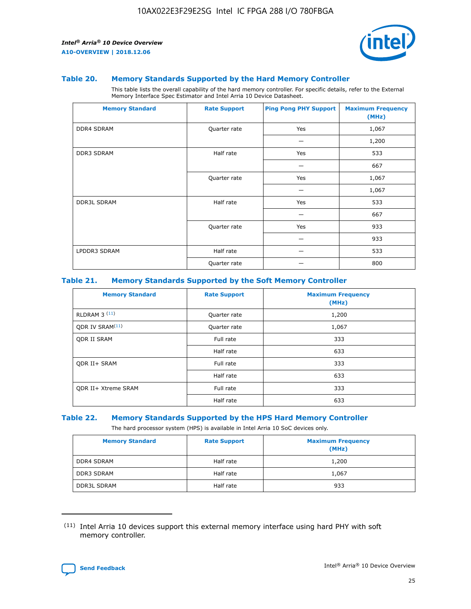

#### **Table 20. Memory Standards Supported by the Hard Memory Controller**

This table lists the overall capability of the hard memory controller. For specific details, refer to the External Memory Interface Spec Estimator and Intel Arria 10 Device Datasheet.

| <b>Memory Standard</b> | <b>Rate Support</b> | <b>Ping Pong PHY Support</b> | <b>Maximum Frequency</b><br>(MHz) |
|------------------------|---------------------|------------------------------|-----------------------------------|
| <b>DDR4 SDRAM</b>      | Quarter rate        | Yes                          | 1,067                             |
|                        |                     |                              | 1,200                             |
| DDR3 SDRAM             | Half rate           | Yes                          | 533                               |
|                        |                     |                              | 667                               |
|                        | Quarter rate        | Yes                          | 1,067                             |
|                        |                     |                              | 1,067                             |
| <b>DDR3L SDRAM</b>     | Half rate           | Yes                          | 533                               |
|                        |                     |                              | 667                               |
|                        | Quarter rate        | Yes                          | 933                               |
|                        |                     |                              | 933                               |
| LPDDR3 SDRAM           | Half rate           |                              | 533                               |
|                        | Quarter rate        |                              | 800                               |

#### **Table 21. Memory Standards Supported by the Soft Memory Controller**

| <b>Memory Standard</b>      | <b>Rate Support</b> | <b>Maximum Frequency</b><br>(MHz) |
|-----------------------------|---------------------|-----------------------------------|
| <b>RLDRAM 3 (11)</b>        | Quarter rate        | 1,200                             |
| ODR IV SRAM <sup>(11)</sup> | Quarter rate        | 1,067                             |
| <b>ODR II SRAM</b>          | Full rate           | 333                               |
|                             | Half rate           | 633                               |
| <b>ODR II+ SRAM</b>         | Full rate           | 333                               |
|                             | Half rate           | 633                               |
| <b>ODR II+ Xtreme SRAM</b>  | Full rate           | 333                               |
|                             | Half rate           | 633                               |

#### **Table 22. Memory Standards Supported by the HPS Hard Memory Controller**

The hard processor system (HPS) is available in Intel Arria 10 SoC devices only.

| <b>Memory Standard</b> | <b>Rate Support</b> | <b>Maximum Frequency</b><br>(MHz) |
|------------------------|---------------------|-----------------------------------|
| <b>DDR4 SDRAM</b>      | Half rate           | 1,200                             |
| DDR3 SDRAM             | Half rate           | 1,067                             |
| <b>DDR3L SDRAM</b>     | Half rate           | 933                               |

<sup>(11)</sup> Intel Arria 10 devices support this external memory interface using hard PHY with soft memory controller.

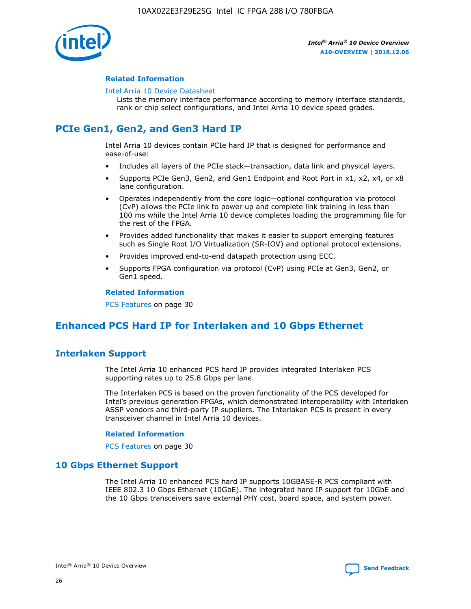

## **Related Information**

#### [Intel Arria 10 Device Datasheet](https://www.intel.com/content/www/us/en/programmable/documentation/mcn1413182292568.html#mcn1413182153340)

Lists the memory interface performance according to memory interface standards, rank or chip select configurations, and Intel Arria 10 device speed grades.

# **PCIe Gen1, Gen2, and Gen3 Hard IP**

Intel Arria 10 devices contain PCIe hard IP that is designed for performance and ease-of-use:

- Includes all layers of the PCIe stack—transaction, data link and physical layers.
- Supports PCIe Gen3, Gen2, and Gen1 Endpoint and Root Port in x1, x2, x4, or x8 lane configuration.
- Operates independently from the core logic—optional configuration via protocol (CvP) allows the PCIe link to power up and complete link training in less than 100 ms while the Intel Arria 10 device completes loading the programming file for the rest of the FPGA.
- Provides added functionality that makes it easier to support emerging features such as Single Root I/O Virtualization (SR-IOV) and optional protocol extensions.
- Provides improved end-to-end datapath protection using ECC.
- Supports FPGA configuration via protocol (CvP) using PCIe at Gen3, Gen2, or Gen1 speed.

#### **Related Information**

PCS Features on page 30

# **Enhanced PCS Hard IP for Interlaken and 10 Gbps Ethernet**

# **Interlaken Support**

The Intel Arria 10 enhanced PCS hard IP provides integrated Interlaken PCS supporting rates up to 25.8 Gbps per lane.

The Interlaken PCS is based on the proven functionality of the PCS developed for Intel's previous generation FPGAs, which demonstrated interoperability with Interlaken ASSP vendors and third-party IP suppliers. The Interlaken PCS is present in every transceiver channel in Intel Arria 10 devices.

#### **Related Information**

PCS Features on page 30

# **10 Gbps Ethernet Support**

The Intel Arria 10 enhanced PCS hard IP supports 10GBASE-R PCS compliant with IEEE 802.3 10 Gbps Ethernet (10GbE). The integrated hard IP support for 10GbE and the 10 Gbps transceivers save external PHY cost, board space, and system power.

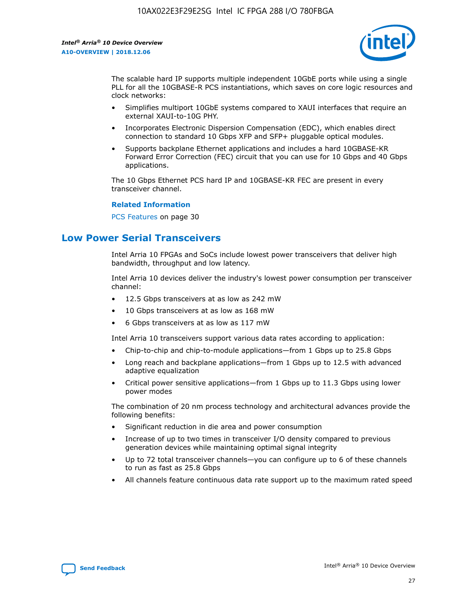

The scalable hard IP supports multiple independent 10GbE ports while using a single PLL for all the 10GBASE-R PCS instantiations, which saves on core logic resources and clock networks:

- Simplifies multiport 10GbE systems compared to XAUI interfaces that require an external XAUI-to-10G PHY.
- Incorporates Electronic Dispersion Compensation (EDC), which enables direct connection to standard 10 Gbps XFP and SFP+ pluggable optical modules.
- Supports backplane Ethernet applications and includes a hard 10GBASE-KR Forward Error Correction (FEC) circuit that you can use for 10 Gbps and 40 Gbps applications.

The 10 Gbps Ethernet PCS hard IP and 10GBASE-KR FEC are present in every transceiver channel.

#### **Related Information**

PCS Features on page 30

# **Low Power Serial Transceivers**

Intel Arria 10 FPGAs and SoCs include lowest power transceivers that deliver high bandwidth, throughput and low latency.

Intel Arria 10 devices deliver the industry's lowest power consumption per transceiver channel:

- 12.5 Gbps transceivers at as low as 242 mW
- 10 Gbps transceivers at as low as 168 mW
- 6 Gbps transceivers at as low as 117 mW

Intel Arria 10 transceivers support various data rates according to application:

- Chip-to-chip and chip-to-module applications—from 1 Gbps up to 25.8 Gbps
- Long reach and backplane applications—from 1 Gbps up to 12.5 with advanced adaptive equalization
- Critical power sensitive applications—from 1 Gbps up to 11.3 Gbps using lower power modes

The combination of 20 nm process technology and architectural advances provide the following benefits:

- Significant reduction in die area and power consumption
- Increase of up to two times in transceiver I/O density compared to previous generation devices while maintaining optimal signal integrity
- Up to 72 total transceiver channels—you can configure up to 6 of these channels to run as fast as 25.8 Gbps
- All channels feature continuous data rate support up to the maximum rated speed

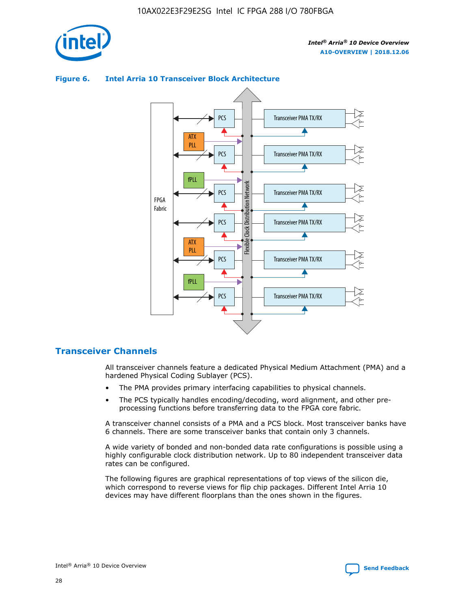

# Transceiver PMA TX/RX PCS ATX PLL Transceiver PMA TX/RX PCS fPLL Network Flexible Clock Distribution Network PCS Transceiver PMA TX/RX FPGA **Clock Distribution** Fabric PCS Transceiver PMA TX/RX ATX Flexible PLL PCS Transceiver PMA TX/RX ▲ fPLL Transceiver PMA TX/RX PCS 4

## **Figure 6. Intel Arria 10 Transceiver Block Architecture**

# **Transceiver Channels**

All transceiver channels feature a dedicated Physical Medium Attachment (PMA) and a hardened Physical Coding Sublayer (PCS).

- The PMA provides primary interfacing capabilities to physical channels.
- The PCS typically handles encoding/decoding, word alignment, and other preprocessing functions before transferring data to the FPGA core fabric.

A transceiver channel consists of a PMA and a PCS block. Most transceiver banks have 6 channels. There are some transceiver banks that contain only 3 channels.

A wide variety of bonded and non-bonded data rate configurations is possible using a highly configurable clock distribution network. Up to 80 independent transceiver data rates can be configured.

The following figures are graphical representations of top views of the silicon die, which correspond to reverse views for flip chip packages. Different Intel Arria 10 devices may have different floorplans than the ones shown in the figures.

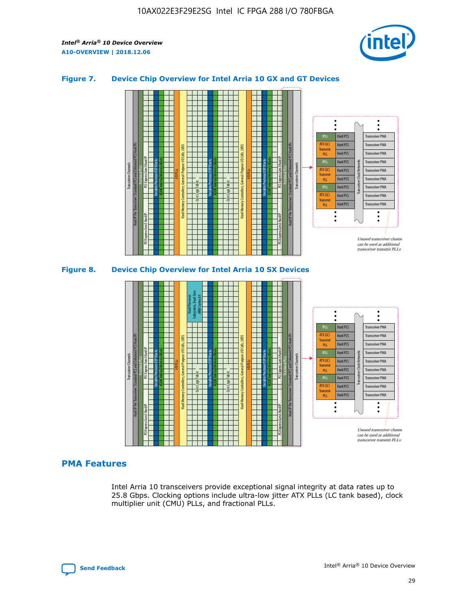

## **Figure 7. Device Chip Overview for Intel Arria 10 GX and GT Devices**



## **PMA Features**

Intel Arria 10 transceivers provide exceptional signal integrity at data rates up to 25.8 Gbps. Clocking options include ultra-low jitter ATX PLLs (LC tank based), clock multiplier unit (CMU) PLLs, and fractional PLLs.



Hard PCS Hard PCS Hard PCS Hard PCS

Transmi PLL fPLL ATX (LC) **Transmit** PLL

Transceiver PMA Transceiver PMA

Transceiver PMA Transceiver PMA

Unused transceiver chann can be used as additional transceiver transmit PLLs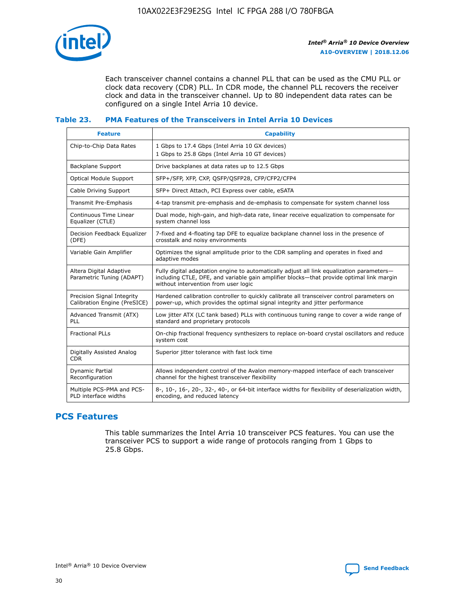

Each transceiver channel contains a channel PLL that can be used as the CMU PLL or clock data recovery (CDR) PLL. In CDR mode, the channel PLL recovers the receiver clock and data in the transceiver channel. Up to 80 independent data rates can be configured on a single Intel Arria 10 device.

## **Table 23. PMA Features of the Transceivers in Intel Arria 10 Devices**

| <b>Feature</b>                                             | <b>Capability</b>                                                                                                                                                                                                             |
|------------------------------------------------------------|-------------------------------------------------------------------------------------------------------------------------------------------------------------------------------------------------------------------------------|
| Chip-to-Chip Data Rates                                    | 1 Gbps to 17.4 Gbps (Intel Arria 10 GX devices)<br>1 Gbps to 25.8 Gbps (Intel Arria 10 GT devices)                                                                                                                            |
| Backplane Support                                          | Drive backplanes at data rates up to 12.5 Gbps                                                                                                                                                                                |
| Optical Module Support                                     | SFP+/SFP, XFP, CXP, QSFP/QSFP28, CFP/CFP2/CFP4                                                                                                                                                                                |
| Cable Driving Support                                      | SFP+ Direct Attach, PCI Express over cable, eSATA                                                                                                                                                                             |
| Transmit Pre-Emphasis                                      | 4-tap transmit pre-emphasis and de-emphasis to compensate for system channel loss                                                                                                                                             |
| Continuous Time Linear<br>Equalizer (CTLE)                 | Dual mode, high-gain, and high-data rate, linear receive equalization to compensate for<br>system channel loss                                                                                                                |
| Decision Feedback Equalizer<br>(DFE)                       | 7-fixed and 4-floating tap DFE to equalize backplane channel loss in the presence of<br>crosstalk and noisy environments                                                                                                      |
| Variable Gain Amplifier                                    | Optimizes the signal amplitude prior to the CDR sampling and operates in fixed and<br>adaptive modes                                                                                                                          |
| Altera Digital Adaptive<br>Parametric Tuning (ADAPT)       | Fully digital adaptation engine to automatically adjust all link equalization parameters-<br>including CTLE, DFE, and variable gain amplifier blocks—that provide optimal link margin<br>without intervention from user logic |
| Precision Signal Integrity<br>Calibration Engine (PreSICE) | Hardened calibration controller to quickly calibrate all transceiver control parameters on<br>power-up, which provides the optimal signal integrity and jitter performance                                                    |
| Advanced Transmit (ATX)<br><b>PLL</b>                      | Low jitter ATX (LC tank based) PLLs with continuous tuning range to cover a wide range of<br>standard and proprietary protocols                                                                                               |
| <b>Fractional PLLs</b>                                     | On-chip fractional frequency synthesizers to replace on-board crystal oscillators and reduce<br>system cost                                                                                                                   |
| Digitally Assisted Analog<br><b>CDR</b>                    | Superior jitter tolerance with fast lock time                                                                                                                                                                                 |
| Dynamic Partial<br>Reconfiguration                         | Allows independent control of the Avalon memory-mapped interface of each transceiver<br>channel for the highest transceiver flexibility                                                                                       |
| Multiple PCS-PMA and PCS-<br>PLD interface widths          | 8-, 10-, 16-, 20-, 32-, 40-, or 64-bit interface widths for flexibility of deserialization width,<br>encoding, and reduced latency                                                                                            |

# **PCS Features**

This table summarizes the Intel Arria 10 transceiver PCS features. You can use the transceiver PCS to support a wide range of protocols ranging from 1 Gbps to 25.8 Gbps.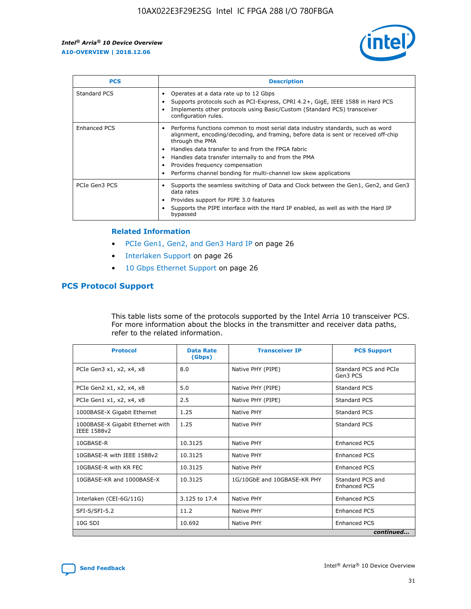

| <b>PCS</b>          | <b>Description</b>                                                                                                                                                                                                                                                                                                                                                                                             |
|---------------------|----------------------------------------------------------------------------------------------------------------------------------------------------------------------------------------------------------------------------------------------------------------------------------------------------------------------------------------------------------------------------------------------------------------|
| Standard PCS        | Operates at a data rate up to 12 Gbps<br>Supports protocols such as PCI-Express, CPRI 4.2+, GigE, IEEE 1588 in Hard PCS<br>Implements other protocols using Basic/Custom (Standard PCS) transceiver<br>configuration rules.                                                                                                                                                                                    |
| <b>Enhanced PCS</b> | Performs functions common to most serial data industry standards, such as word<br>alignment, encoding/decoding, and framing, before data is sent or received off-chip<br>through the PMA<br>• Handles data transfer to and from the FPGA fabric<br>Handles data transfer internally to and from the PMA<br>Provides frequency compensation<br>Performs channel bonding for multi-channel low skew applications |
| PCIe Gen3 PCS       | Supports the seamless switching of Data and Clock between the Gen1, Gen2, and Gen3<br>data rates<br>Provides support for PIPE 3.0 features<br>Supports the PIPE interface with the Hard IP enabled, as well as with the Hard IP<br>bypassed                                                                                                                                                                    |

#### **Related Information**

- PCIe Gen1, Gen2, and Gen3 Hard IP on page 26
- Interlaken Support on page 26
- 10 Gbps Ethernet Support on page 26

# **PCS Protocol Support**

This table lists some of the protocols supported by the Intel Arria 10 transceiver PCS. For more information about the blocks in the transmitter and receiver data paths, refer to the related information.

| <b>Protocol</b>                                 | <b>Data Rate</b><br>(Gbps) | <b>Transceiver IP</b>       | <b>PCS Support</b>                      |
|-------------------------------------------------|----------------------------|-----------------------------|-----------------------------------------|
| PCIe Gen3 x1, x2, x4, x8                        | 8.0                        | Native PHY (PIPE)           | Standard PCS and PCIe<br>Gen3 PCS       |
| PCIe Gen2 x1, x2, x4, x8                        | 5.0                        | Native PHY (PIPE)           | <b>Standard PCS</b>                     |
| PCIe Gen1 x1, x2, x4, x8                        | 2.5                        | Native PHY (PIPE)           | Standard PCS                            |
| 1000BASE-X Gigabit Ethernet                     | 1.25                       | Native PHY                  | <b>Standard PCS</b>                     |
| 1000BASE-X Gigabit Ethernet with<br>IEEE 1588v2 | 1.25                       | Native PHY                  | Standard PCS                            |
| 10GBASE-R                                       | 10.3125                    | Native PHY                  | <b>Enhanced PCS</b>                     |
| 10GBASE-R with IEEE 1588v2                      | 10.3125                    | Native PHY                  | <b>Enhanced PCS</b>                     |
| 10GBASE-R with KR FEC                           | 10.3125                    | Native PHY                  | <b>Enhanced PCS</b>                     |
| 10GBASE-KR and 1000BASE-X                       | 10.3125                    | 1G/10GbE and 10GBASE-KR PHY | Standard PCS and<br><b>Enhanced PCS</b> |
| Interlaken (CEI-6G/11G)                         | 3.125 to 17.4              | Native PHY                  | <b>Enhanced PCS</b>                     |
| SFI-S/SFI-5.2                                   | 11.2                       | Native PHY                  | <b>Enhanced PCS</b>                     |
| $10G$ SDI                                       | 10.692                     | Native PHY                  | <b>Enhanced PCS</b>                     |
|                                                 |                            |                             | continued                               |

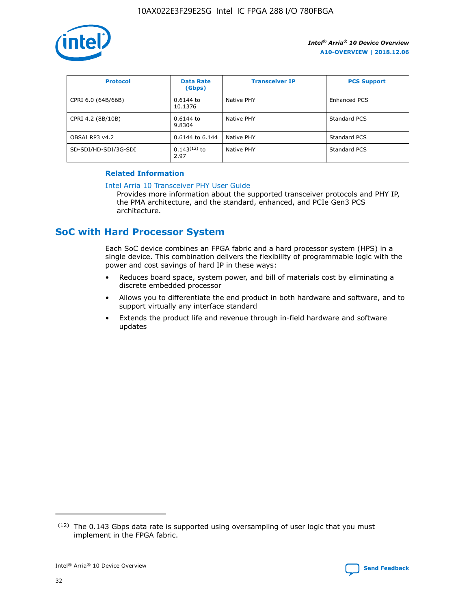

| <b>Protocol</b>      | <b>Data Rate</b><br>(Gbps) | <b>Transceiver IP</b> | <b>PCS Support</b> |
|----------------------|----------------------------|-----------------------|--------------------|
| CPRI 6.0 (64B/66B)   | 0.6144 to<br>10.1376       | Native PHY            | Enhanced PCS       |
| CPRI 4.2 (8B/10B)    | 0.6144 to<br>9.8304        | Native PHY            | Standard PCS       |
| OBSAI RP3 v4.2       | 0.6144 to 6.144            | Native PHY            | Standard PCS       |
| SD-SDI/HD-SDI/3G-SDI | $0.143(12)$ to<br>2.97     | Native PHY            | Standard PCS       |

## **Related Information**

#### [Intel Arria 10 Transceiver PHY User Guide](https://www.intel.com/content/www/us/en/programmable/documentation/nik1398707230472.html#nik1398707091164)

Provides more information about the supported transceiver protocols and PHY IP, the PMA architecture, and the standard, enhanced, and PCIe Gen3 PCS architecture.

# **SoC with Hard Processor System**

Each SoC device combines an FPGA fabric and a hard processor system (HPS) in a single device. This combination delivers the flexibility of programmable logic with the power and cost savings of hard IP in these ways:

- Reduces board space, system power, and bill of materials cost by eliminating a discrete embedded processor
- Allows you to differentiate the end product in both hardware and software, and to support virtually any interface standard
- Extends the product life and revenue through in-field hardware and software updates

 $(12)$  The 0.143 Gbps data rate is supported using oversampling of user logic that you must implement in the FPGA fabric.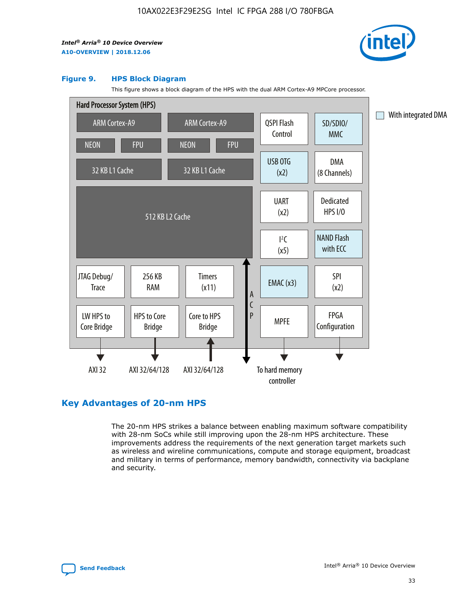

#### **Figure 9. HPS Block Diagram**

This figure shows a block diagram of the HPS with the dual ARM Cortex-A9 MPCore processor.



# **Key Advantages of 20-nm HPS**

The 20-nm HPS strikes a balance between enabling maximum software compatibility with 28-nm SoCs while still improving upon the 28-nm HPS architecture. These improvements address the requirements of the next generation target markets such as wireless and wireline communications, compute and storage equipment, broadcast and military in terms of performance, memory bandwidth, connectivity via backplane and security.

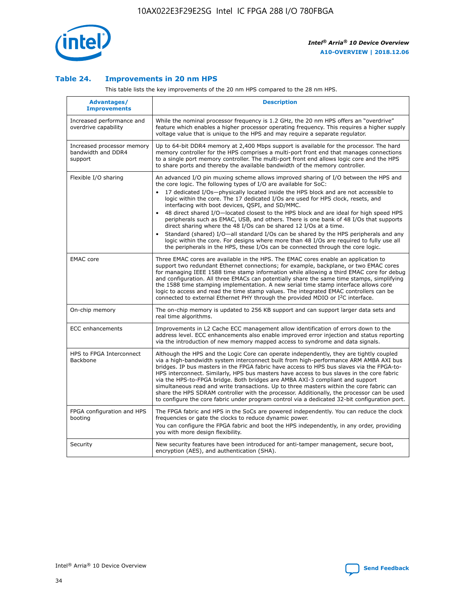

## **Table 24. Improvements in 20 nm HPS**

This table lists the key improvements of the 20 nm HPS compared to the 28 nm HPS.

| Advantages/<br><b>Improvements</b>                          | <b>Description</b>                                                                                                                                                                                                                                                                                                                                                                                                                                                                                                                                                                                                                                                                                                                                                                                                                                                                                                      |
|-------------------------------------------------------------|-------------------------------------------------------------------------------------------------------------------------------------------------------------------------------------------------------------------------------------------------------------------------------------------------------------------------------------------------------------------------------------------------------------------------------------------------------------------------------------------------------------------------------------------------------------------------------------------------------------------------------------------------------------------------------------------------------------------------------------------------------------------------------------------------------------------------------------------------------------------------------------------------------------------------|
| Increased performance and<br>overdrive capability           | While the nominal processor frequency is 1.2 GHz, the 20 nm HPS offers an "overdrive"<br>feature which enables a higher processor operating frequency. This requires a higher supply<br>voltage value that is unique to the HPS and may require a separate regulator.                                                                                                                                                                                                                                                                                                                                                                                                                                                                                                                                                                                                                                                   |
| Increased processor memory<br>bandwidth and DDR4<br>support | Up to 64-bit DDR4 memory at 2,400 Mbps support is available for the processor. The hard<br>memory controller for the HPS comprises a multi-port front end that manages connections<br>to a single port memory controller. The multi-port front end allows logic core and the HPS<br>to share ports and thereby the available bandwidth of the memory controller.                                                                                                                                                                                                                                                                                                                                                                                                                                                                                                                                                        |
| Flexible I/O sharing                                        | An advanced I/O pin muxing scheme allows improved sharing of I/O between the HPS and<br>the core logic. The following types of I/O are available for SoC:<br>17 dedicated I/Os-physically located inside the HPS block and are not accessible to<br>logic within the core. The 17 dedicated I/Os are used for HPS clock, resets, and<br>interfacing with boot devices, QSPI, and SD/MMC.<br>48 direct shared I/O-located closest to the HPS block and are ideal for high speed HPS<br>peripherals such as EMAC, USB, and others. There is one bank of 48 I/Os that supports<br>direct sharing where the 48 I/Os can be shared 12 I/Os at a time.<br>Standard (shared) I/O-all standard I/Os can be shared by the HPS peripherals and any<br>logic within the core. For designs where more than 48 I/Os are required to fully use all<br>the peripherals in the HPS, these I/Os can be connected through the core logic. |
| <b>EMAC</b> core                                            | Three EMAC cores are available in the HPS. The EMAC cores enable an application to<br>support two redundant Ethernet connections; for example, backplane, or two EMAC cores<br>for managing IEEE 1588 time stamp information while allowing a third EMAC core for debug<br>and configuration. All three EMACs can potentially share the same time stamps, simplifying<br>the 1588 time stamping implementation. A new serial time stamp interface allows core<br>logic to access and read the time stamp values. The integrated EMAC controllers can be<br>connected to external Ethernet PHY through the provided MDIO or I <sup>2</sup> C interface.                                                                                                                                                                                                                                                                  |
| On-chip memory                                              | The on-chip memory is updated to 256 KB support and can support larger data sets and<br>real time algorithms.                                                                                                                                                                                                                                                                                                                                                                                                                                                                                                                                                                                                                                                                                                                                                                                                           |
| <b>ECC</b> enhancements                                     | Improvements in L2 Cache ECC management allow identification of errors down to the<br>address level. ECC enhancements also enable improved error injection and status reporting<br>via the introduction of new memory mapped access to syndrome and data signals.                                                                                                                                                                                                                                                                                                                                                                                                                                                                                                                                                                                                                                                       |
| HPS to FPGA Interconnect<br>Backbone                        | Although the HPS and the Logic Core can operate independently, they are tightly coupled<br>via a high-bandwidth system interconnect built from high-performance ARM AMBA AXI bus<br>bridges. IP bus masters in the FPGA fabric have access to HPS bus slaves via the FPGA-to-<br>HPS interconnect. Similarly, HPS bus masters have access to bus slaves in the core fabric<br>via the HPS-to-FPGA bridge. Both bridges are AMBA AXI-3 compliant and support<br>simultaneous read and write transactions. Up to three masters within the core fabric can<br>share the HPS SDRAM controller with the processor. Additionally, the processor can be used<br>to configure the core fabric under program control via a dedicated 32-bit configuration port.                                                                                                                                                                  |
| FPGA configuration and HPS<br>booting                       | The FPGA fabric and HPS in the SoCs are powered independently. You can reduce the clock<br>frequencies or gate the clocks to reduce dynamic power.<br>You can configure the FPGA fabric and boot the HPS independently, in any order, providing<br>you with more design flexibility.                                                                                                                                                                                                                                                                                                                                                                                                                                                                                                                                                                                                                                    |
| Security                                                    | New security features have been introduced for anti-tamper management, secure boot,<br>encryption (AES), and authentication (SHA).                                                                                                                                                                                                                                                                                                                                                                                                                                                                                                                                                                                                                                                                                                                                                                                      |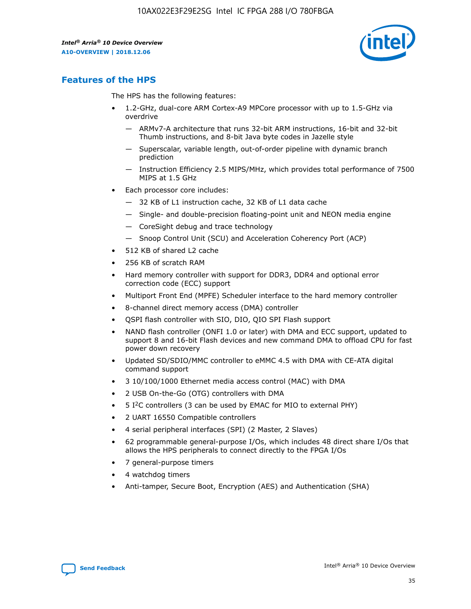

# **Features of the HPS**

The HPS has the following features:

- 1.2-GHz, dual-core ARM Cortex-A9 MPCore processor with up to 1.5-GHz via overdrive
	- ARMv7-A architecture that runs 32-bit ARM instructions, 16-bit and 32-bit Thumb instructions, and 8-bit Java byte codes in Jazelle style
	- Superscalar, variable length, out-of-order pipeline with dynamic branch prediction
	- Instruction Efficiency 2.5 MIPS/MHz, which provides total performance of 7500 MIPS at 1.5 GHz
- Each processor core includes:
	- 32 KB of L1 instruction cache, 32 KB of L1 data cache
	- Single- and double-precision floating-point unit and NEON media engine
	- CoreSight debug and trace technology
	- Snoop Control Unit (SCU) and Acceleration Coherency Port (ACP)
- 512 KB of shared L2 cache
- 256 KB of scratch RAM
- Hard memory controller with support for DDR3, DDR4 and optional error correction code (ECC) support
- Multiport Front End (MPFE) Scheduler interface to the hard memory controller
- 8-channel direct memory access (DMA) controller
- QSPI flash controller with SIO, DIO, QIO SPI Flash support
- NAND flash controller (ONFI 1.0 or later) with DMA and ECC support, updated to support 8 and 16-bit Flash devices and new command DMA to offload CPU for fast power down recovery
- Updated SD/SDIO/MMC controller to eMMC 4.5 with DMA with CE-ATA digital command support
- 3 10/100/1000 Ethernet media access control (MAC) with DMA
- 2 USB On-the-Go (OTG) controllers with DMA
- $\bullet$  5 I<sup>2</sup>C controllers (3 can be used by EMAC for MIO to external PHY)
- 2 UART 16550 Compatible controllers
- 4 serial peripheral interfaces (SPI) (2 Master, 2 Slaves)
- 62 programmable general-purpose I/Os, which includes 48 direct share I/Os that allows the HPS peripherals to connect directly to the FPGA I/Os
- 7 general-purpose timers
- 4 watchdog timers
- Anti-tamper, Secure Boot, Encryption (AES) and Authentication (SHA)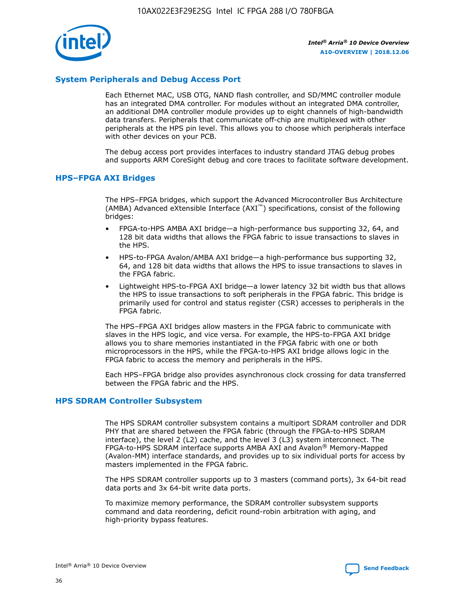

# **System Peripherals and Debug Access Port**

Each Ethernet MAC, USB OTG, NAND flash controller, and SD/MMC controller module has an integrated DMA controller. For modules without an integrated DMA controller, an additional DMA controller module provides up to eight channels of high-bandwidth data transfers. Peripherals that communicate off-chip are multiplexed with other peripherals at the HPS pin level. This allows you to choose which peripherals interface with other devices on your PCB.

The debug access port provides interfaces to industry standard JTAG debug probes and supports ARM CoreSight debug and core traces to facilitate software development.

#### **HPS–FPGA AXI Bridges**

The HPS–FPGA bridges, which support the Advanced Microcontroller Bus Architecture (AMBA) Advanced eXtensible Interface (AXI™) specifications, consist of the following bridges:

- FPGA-to-HPS AMBA AXI bridge—a high-performance bus supporting 32, 64, and 128 bit data widths that allows the FPGA fabric to issue transactions to slaves in the HPS.
- HPS-to-FPGA Avalon/AMBA AXI bridge—a high-performance bus supporting 32, 64, and 128 bit data widths that allows the HPS to issue transactions to slaves in the FPGA fabric.
- Lightweight HPS-to-FPGA AXI bridge—a lower latency 32 bit width bus that allows the HPS to issue transactions to soft peripherals in the FPGA fabric. This bridge is primarily used for control and status register (CSR) accesses to peripherals in the FPGA fabric.

The HPS–FPGA AXI bridges allow masters in the FPGA fabric to communicate with slaves in the HPS logic, and vice versa. For example, the HPS-to-FPGA AXI bridge allows you to share memories instantiated in the FPGA fabric with one or both microprocessors in the HPS, while the FPGA-to-HPS AXI bridge allows logic in the FPGA fabric to access the memory and peripherals in the HPS.

Each HPS–FPGA bridge also provides asynchronous clock crossing for data transferred between the FPGA fabric and the HPS.

#### **HPS SDRAM Controller Subsystem**

The HPS SDRAM controller subsystem contains a multiport SDRAM controller and DDR PHY that are shared between the FPGA fabric (through the FPGA-to-HPS SDRAM interface), the level 2 (L2) cache, and the level 3 (L3) system interconnect. The FPGA-to-HPS SDRAM interface supports AMBA AXI and Avalon® Memory-Mapped (Avalon-MM) interface standards, and provides up to six individual ports for access by masters implemented in the FPGA fabric.

The HPS SDRAM controller supports up to 3 masters (command ports), 3x 64-bit read data ports and 3x 64-bit write data ports.

To maximize memory performance, the SDRAM controller subsystem supports command and data reordering, deficit round-robin arbitration with aging, and high-priority bypass features.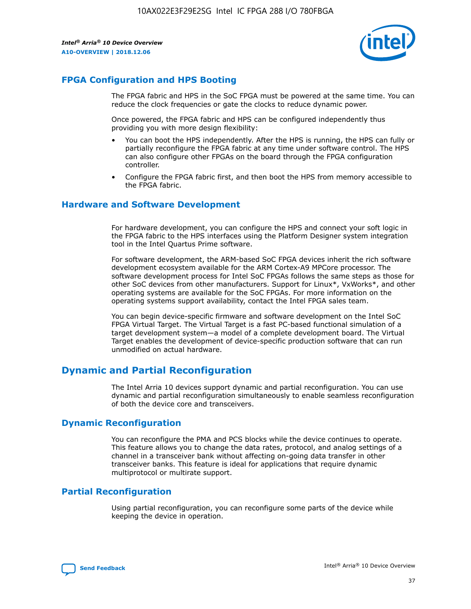

# **FPGA Configuration and HPS Booting**

The FPGA fabric and HPS in the SoC FPGA must be powered at the same time. You can reduce the clock frequencies or gate the clocks to reduce dynamic power.

Once powered, the FPGA fabric and HPS can be configured independently thus providing you with more design flexibility:

- You can boot the HPS independently. After the HPS is running, the HPS can fully or partially reconfigure the FPGA fabric at any time under software control. The HPS can also configure other FPGAs on the board through the FPGA configuration controller.
- Configure the FPGA fabric first, and then boot the HPS from memory accessible to the FPGA fabric.

## **Hardware and Software Development**

For hardware development, you can configure the HPS and connect your soft logic in the FPGA fabric to the HPS interfaces using the Platform Designer system integration tool in the Intel Quartus Prime software.

For software development, the ARM-based SoC FPGA devices inherit the rich software development ecosystem available for the ARM Cortex-A9 MPCore processor. The software development process for Intel SoC FPGAs follows the same steps as those for other SoC devices from other manufacturers. Support for Linux\*, VxWorks\*, and other operating systems are available for the SoC FPGAs. For more information on the operating systems support availability, contact the Intel FPGA sales team.

You can begin device-specific firmware and software development on the Intel SoC FPGA Virtual Target. The Virtual Target is a fast PC-based functional simulation of a target development system—a model of a complete development board. The Virtual Target enables the development of device-specific production software that can run unmodified on actual hardware.

# **Dynamic and Partial Reconfiguration**

The Intel Arria 10 devices support dynamic and partial reconfiguration. You can use dynamic and partial reconfiguration simultaneously to enable seamless reconfiguration of both the device core and transceivers.

# **Dynamic Reconfiguration**

You can reconfigure the PMA and PCS blocks while the device continues to operate. This feature allows you to change the data rates, protocol, and analog settings of a channel in a transceiver bank without affecting on-going data transfer in other transceiver banks. This feature is ideal for applications that require dynamic multiprotocol or multirate support.

# **Partial Reconfiguration**

Using partial reconfiguration, you can reconfigure some parts of the device while keeping the device in operation.

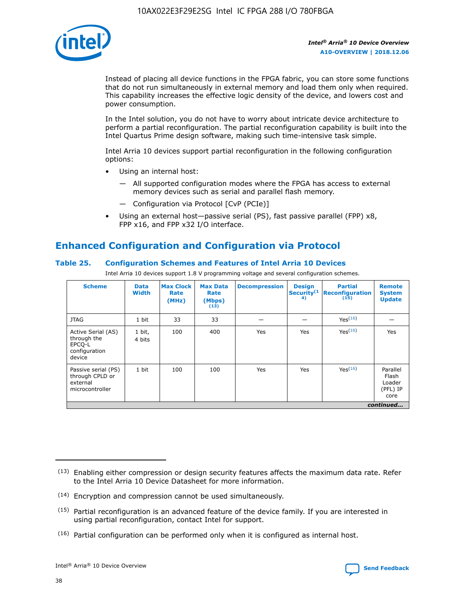

Instead of placing all device functions in the FPGA fabric, you can store some functions that do not run simultaneously in external memory and load them only when required. This capability increases the effective logic density of the device, and lowers cost and power consumption.

In the Intel solution, you do not have to worry about intricate device architecture to perform a partial reconfiguration. The partial reconfiguration capability is built into the Intel Quartus Prime design software, making such time-intensive task simple.

Intel Arria 10 devices support partial reconfiguration in the following configuration options:

- Using an internal host:
	- All supported configuration modes where the FPGA has access to external memory devices such as serial and parallel flash memory.
	- Configuration via Protocol [CvP (PCIe)]
- Using an external host—passive serial (PS), fast passive parallel (FPP) x8, FPP x16, and FPP x32 I/O interface.

# **Enhanced Configuration and Configuration via Protocol**

## **Table 25. Configuration Schemes and Features of Intel Arria 10 Devices**

Intel Arria 10 devices support 1.8 V programming voltage and several configuration schemes.

| <b>Scheme</b>                                                          | <b>Data</b><br><b>Width</b> | <b>Max Clock</b><br>Rate<br>(MHz) | <b>Max Data</b><br>Rate<br>(Mbps)<br>(13) | <b>Decompression</b> | <b>Design</b><br>Security <sup>(1</sup><br>4) | <b>Partial</b><br>Reconfiguration<br>(15) | <b>Remote</b><br><b>System</b><br><b>Update</b> |
|------------------------------------------------------------------------|-----------------------------|-----------------------------------|-------------------------------------------|----------------------|-----------------------------------------------|-------------------------------------------|-------------------------------------------------|
| <b>JTAG</b>                                                            | 1 bit                       | 33                                | 33                                        |                      |                                               | Yes <sup>(16)</sup>                       |                                                 |
| Active Serial (AS)<br>through the<br>EPCO-L<br>configuration<br>device | 1 bit,<br>4 bits            | 100                               | 400                                       | Yes                  | Yes                                           | $Y_{PS}(16)$                              | Yes                                             |
| Passive serial (PS)<br>through CPLD or<br>external<br>microcontroller  | 1 bit                       | 100                               | 100                                       | Yes                  | Yes                                           | Yes(16)                                   | Parallel<br>Flash<br>Loader<br>(PFL) IP<br>core |
|                                                                        |                             |                                   |                                           |                      |                                               |                                           | continued                                       |

<sup>(13)</sup> Enabling either compression or design security features affects the maximum data rate. Refer to the Intel Arria 10 Device Datasheet for more information.

<sup>(14)</sup> Encryption and compression cannot be used simultaneously.

 $(15)$  Partial reconfiguration is an advanced feature of the device family. If you are interested in using partial reconfiguration, contact Intel for support.

 $(16)$  Partial configuration can be performed only when it is configured as internal host.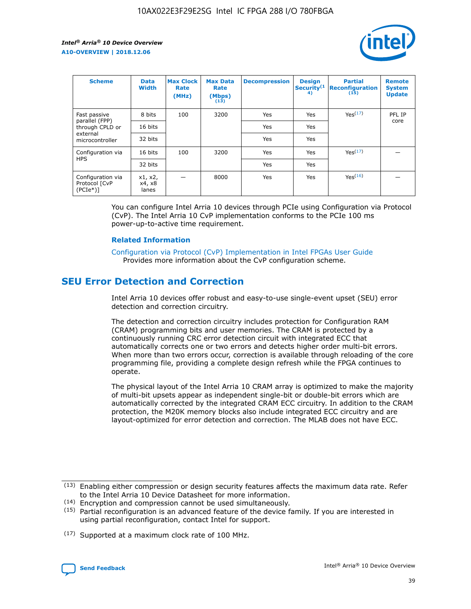

| <b>Scheme</b>                                   | <b>Data</b><br><b>Width</b> | <b>Max Clock</b><br>Rate<br>(MHz) | <b>Max Data</b><br>Rate<br>(Mbps)<br>(13) | <b>Decompression</b> | <b>Design</b><br>Security <sup>(1</sup><br>4) | <b>Partial</b><br><b>Reconfiguration</b><br>(15) | <b>Remote</b><br><b>System</b><br><b>Update</b> |
|-------------------------------------------------|-----------------------------|-----------------------------------|-------------------------------------------|----------------------|-----------------------------------------------|--------------------------------------------------|-------------------------------------------------|
| Fast passive                                    | 8 bits                      | 100                               | 3200                                      | Yes                  | Yes                                           | Yes(17)                                          | PFL IP                                          |
| parallel (FPP)<br>through CPLD or               | 16 bits                     |                                   |                                           | Yes                  | Yes                                           |                                                  | core                                            |
| external<br>microcontroller                     | 32 bits                     |                                   |                                           | Yes                  | Yes                                           |                                                  |                                                 |
| Configuration via                               | 16 bits                     | 100                               | 3200                                      | Yes                  | Yes                                           | Yes <sup>(17)</sup>                              |                                                 |
| <b>HPS</b>                                      | 32 bits                     |                                   |                                           | Yes                  | Yes                                           |                                                  |                                                 |
| Configuration via<br>Protocol [CvP<br>$(PCIe*)$ | x1, x2,<br>x4, x8<br>lanes  |                                   | 8000                                      | Yes                  | Yes                                           | Yes <sup>(16)</sup>                              |                                                 |

You can configure Intel Arria 10 devices through PCIe using Configuration via Protocol (CvP). The Intel Arria 10 CvP implementation conforms to the PCIe 100 ms power-up-to-active time requirement.

#### **Related Information**

[Configuration via Protocol \(CvP\) Implementation in Intel FPGAs User Guide](https://www.intel.com/content/www/us/en/programmable/documentation/dsu1441819344145.html#dsu1442269728522) Provides more information about the CvP configuration scheme.

# **SEU Error Detection and Correction**

Intel Arria 10 devices offer robust and easy-to-use single-event upset (SEU) error detection and correction circuitry.

The detection and correction circuitry includes protection for Configuration RAM (CRAM) programming bits and user memories. The CRAM is protected by a continuously running CRC error detection circuit with integrated ECC that automatically corrects one or two errors and detects higher order multi-bit errors. When more than two errors occur, correction is available through reloading of the core programming file, providing a complete design refresh while the FPGA continues to operate.

The physical layout of the Intel Arria 10 CRAM array is optimized to make the majority of multi-bit upsets appear as independent single-bit or double-bit errors which are automatically corrected by the integrated CRAM ECC circuitry. In addition to the CRAM protection, the M20K memory blocks also include integrated ECC circuitry and are layout-optimized for error detection and correction. The MLAB does not have ECC.

(14) Encryption and compression cannot be used simultaneously.

<sup>(17)</sup> Supported at a maximum clock rate of 100 MHz.



 $(13)$  Enabling either compression or design security features affects the maximum data rate. Refer to the Intel Arria 10 Device Datasheet for more information.

 $(15)$  Partial reconfiguration is an advanced feature of the device family. If you are interested in using partial reconfiguration, contact Intel for support.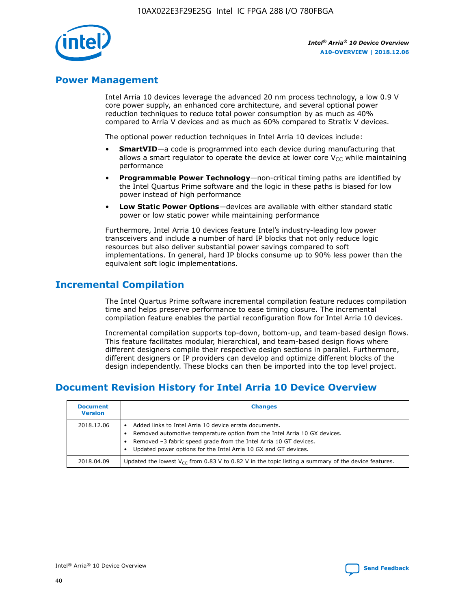

# **Power Management**

Intel Arria 10 devices leverage the advanced 20 nm process technology, a low 0.9 V core power supply, an enhanced core architecture, and several optional power reduction techniques to reduce total power consumption by as much as 40% compared to Arria V devices and as much as 60% compared to Stratix V devices.

The optional power reduction techniques in Intel Arria 10 devices include:

- **SmartVID**—a code is programmed into each device during manufacturing that allows a smart regulator to operate the device at lower core  $V_{CC}$  while maintaining performance
- **Programmable Power Technology**—non-critical timing paths are identified by the Intel Quartus Prime software and the logic in these paths is biased for low power instead of high performance
- **Low Static Power Options**—devices are available with either standard static power or low static power while maintaining performance

Furthermore, Intel Arria 10 devices feature Intel's industry-leading low power transceivers and include a number of hard IP blocks that not only reduce logic resources but also deliver substantial power savings compared to soft implementations. In general, hard IP blocks consume up to 90% less power than the equivalent soft logic implementations.

# **Incremental Compilation**

The Intel Quartus Prime software incremental compilation feature reduces compilation time and helps preserve performance to ease timing closure. The incremental compilation feature enables the partial reconfiguration flow for Intel Arria 10 devices.

Incremental compilation supports top-down, bottom-up, and team-based design flows. This feature facilitates modular, hierarchical, and team-based design flows where different designers compile their respective design sections in parallel. Furthermore, different designers or IP providers can develop and optimize different blocks of the design independently. These blocks can then be imported into the top level project.

# **Document Revision History for Intel Arria 10 Device Overview**

| <b>Document</b><br><b>Version</b> | <b>Changes</b>                                                                                                                                                                                                                                                              |
|-----------------------------------|-----------------------------------------------------------------------------------------------------------------------------------------------------------------------------------------------------------------------------------------------------------------------------|
| 2018.12.06                        | Added links to Intel Arria 10 device errata documents.<br>Removed automotive temperature option from the Intel Arria 10 GX devices.<br>Removed -3 fabric speed grade from the Intel Arria 10 GT devices.<br>Updated power options for the Intel Arria 10 GX and GT devices. |
| 2018.04.09                        | Updated the lowest $V_{CC}$ from 0.83 V to 0.82 V in the topic listing a summary of the device features.                                                                                                                                                                    |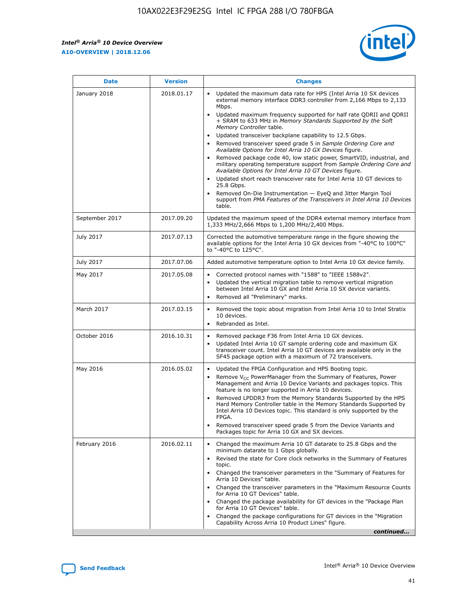F

 $\mathsf{r}$ 



| January 2018<br>Updated the maximum data rate for HPS (Intel Arria 10 SX devices<br>2018.01.17<br>external memory interface DDR3 controller from 2,166 Mbps to 2,133<br>Mbps.<br>$\bullet$<br>+ SRAM to 633 MHz in Memory Standards Supported by the Soft<br>Memory Controller table.<br>Updated transceiver backplane capability to 12.5 Gbps.<br>$\bullet$<br>Removed transceiver speed grade 5 in Sample Ordering Core and<br>Available Options for Intel Arria 10 GX Devices figure.<br>Available Options for Intel Arria 10 GT Devices figure.<br>Updated short reach transceiver rate for Intel Arria 10 GT devices to<br>$\bullet$<br>25.8 Gbps.<br>Removed On-Die Instrumentation - EyeQ and Jitter Margin Tool<br>table.<br>2017.09.20<br>September 2017<br>1,333 MHz/2,666 Mbps to 1,200 MHz/2,400 Mbps.<br>July 2017<br>2017.07.13<br>Corrected the automotive temperature range in the figure showing the<br>available options for the Intel Arria 10 GX devices from "-40°C to 100°C"<br>to "-40°C to 125°C".<br>July 2017<br>2017.07.06<br>Added automotive temperature option to Intel Arria 10 GX device family.<br>2017.05.08<br>Corrected protocol names with "1588" to "IEEE 1588v2".<br>May 2017<br>$\bullet$<br>Updated the vertical migration table to remove vertical migration<br>$\bullet$<br>between Intel Arria 10 GX and Intel Arria 10 SX device variants.<br>Removed all "Preliminary" marks.<br>2017.03.15<br>March 2017<br>Removed the topic about migration from Intel Arria 10 to Intel Stratix<br>10 devices.<br>Rebranded as Intel.<br>$\bullet$<br>October 2016<br>2016.10.31<br>Removed package F36 from Intel Arria 10 GX devices.<br>$\bullet$<br>Updated Intel Arria 10 GT sample ordering code and maximum GX<br>$\bullet$<br>transceiver count. Intel Arria 10 GT devices are available only in the<br>SF45 package option with a maximum of 72 transceivers.<br>May 2016<br>2016.05.02<br>Updated the FPGA Configuration and HPS Booting topic.<br>Remove $V_{CC}$ PowerManager from the Summary of Features, Power<br>Management and Arria 10 Device Variants and packages topics. This<br>feature is no longer supported in Arria 10 devices.<br>Removed LPDDR3 from the Memory Standards Supported by the HPS<br>Hard Memory Controller table in the Memory Standards Supported by<br>Intel Arria 10 Devices topic. This standard is only supported by the<br>FPGA.<br>Removed transceiver speed grade 5 from the Device Variants and<br>Packages topic for Arria 10 GX and SX devices.<br>Changed the maximum Arria 10 GT datarate to 25.8 Gbps and the<br>February 2016<br>2016.02.11<br>minimum datarate to 1 Gbps globally.<br>Revised the state for Core clock networks in the Summary of Features<br>$\bullet$<br>topic.<br>• Changed the transceiver parameters in the "Summary of Features for<br>Arria 10 Devices" table.<br>for Arria 10 GT Devices" table.<br>• Changed the package availability for GT devices in the "Package Plan<br>for Arria 10 GT Devices" table.<br>Changed the package configurations for GT devices in the "Migration"<br>Capability Across Arria 10 Product Lines" figure. | <b>Date</b> | <b>Version</b> | <b>Changes</b>                                                                                                                                                                                                                                                                               |
|----------------------------------------------------------------------------------------------------------------------------------------------------------------------------------------------------------------------------------------------------------------------------------------------------------------------------------------------------------------------------------------------------------------------------------------------------------------------------------------------------------------------------------------------------------------------------------------------------------------------------------------------------------------------------------------------------------------------------------------------------------------------------------------------------------------------------------------------------------------------------------------------------------------------------------------------------------------------------------------------------------------------------------------------------------------------------------------------------------------------------------------------------------------------------------------------------------------------------------------------------------------------------------------------------------------------------------------------------------------------------------------------------------------------------------------------------------------------------------------------------------------------------------------------------------------------------------------------------------------------------------------------------------------------------------------------------------------------------------------------------------------------------------------------------------------------------------------------------------------------------------------------------------------------------------------------------------------------------------------------------------------------------------------------------------------------------------------------------------------------------------------------------------------------------------------------------------------------------------------------------------------------------------------------------------------------------------------------------------------------------------------------------------------------------------------------------------------------------------------------------------------------------------------------------------------------------------------------------------------------------------------------------------------------------------------------------------------------------------------------------------------------------------------------------------------------------------------------------------------------------------------------------------------------------------------------------------------------------------------------------------------------------------------------------------------------------------------------------------------------------------------------------------------|-------------|----------------|----------------------------------------------------------------------------------------------------------------------------------------------------------------------------------------------------------------------------------------------------------------------------------------------|
|                                                                                                                                                                                                                                                                                                                                                                                                                                                                                                                                                                                                                                                                                                                                                                                                                                                                                                                                                                                                                                                                                                                                                                                                                                                                                                                                                                                                                                                                                                                                                                                                                                                                                                                                                                                                                                                                                                                                                                                                                                                                                                                                                                                                                                                                                                                                                                                                                                                                                                                                                                                                                                                                                                                                                                                                                                                                                                                                                                                                                                                                                                                                                                |             |                | Updated maximum frequency supported for half rate QDRII and QDRII<br>Removed package code 40, low static power, SmartVID, industrial, and<br>military operating temperature support from Sample Ordering Core and<br>support from PMA Features of the Transceivers in Intel Arria 10 Devices |
|                                                                                                                                                                                                                                                                                                                                                                                                                                                                                                                                                                                                                                                                                                                                                                                                                                                                                                                                                                                                                                                                                                                                                                                                                                                                                                                                                                                                                                                                                                                                                                                                                                                                                                                                                                                                                                                                                                                                                                                                                                                                                                                                                                                                                                                                                                                                                                                                                                                                                                                                                                                                                                                                                                                                                                                                                                                                                                                                                                                                                                                                                                                                                                |             |                | Updated the maximum speed of the DDR4 external memory interface from                                                                                                                                                                                                                         |
|                                                                                                                                                                                                                                                                                                                                                                                                                                                                                                                                                                                                                                                                                                                                                                                                                                                                                                                                                                                                                                                                                                                                                                                                                                                                                                                                                                                                                                                                                                                                                                                                                                                                                                                                                                                                                                                                                                                                                                                                                                                                                                                                                                                                                                                                                                                                                                                                                                                                                                                                                                                                                                                                                                                                                                                                                                                                                                                                                                                                                                                                                                                                                                |             |                |                                                                                                                                                                                                                                                                                              |
|                                                                                                                                                                                                                                                                                                                                                                                                                                                                                                                                                                                                                                                                                                                                                                                                                                                                                                                                                                                                                                                                                                                                                                                                                                                                                                                                                                                                                                                                                                                                                                                                                                                                                                                                                                                                                                                                                                                                                                                                                                                                                                                                                                                                                                                                                                                                                                                                                                                                                                                                                                                                                                                                                                                                                                                                                                                                                                                                                                                                                                                                                                                                                                |             |                |                                                                                                                                                                                                                                                                                              |
|                                                                                                                                                                                                                                                                                                                                                                                                                                                                                                                                                                                                                                                                                                                                                                                                                                                                                                                                                                                                                                                                                                                                                                                                                                                                                                                                                                                                                                                                                                                                                                                                                                                                                                                                                                                                                                                                                                                                                                                                                                                                                                                                                                                                                                                                                                                                                                                                                                                                                                                                                                                                                                                                                                                                                                                                                                                                                                                                                                                                                                                                                                                                                                |             |                |                                                                                                                                                                                                                                                                                              |
|                                                                                                                                                                                                                                                                                                                                                                                                                                                                                                                                                                                                                                                                                                                                                                                                                                                                                                                                                                                                                                                                                                                                                                                                                                                                                                                                                                                                                                                                                                                                                                                                                                                                                                                                                                                                                                                                                                                                                                                                                                                                                                                                                                                                                                                                                                                                                                                                                                                                                                                                                                                                                                                                                                                                                                                                                                                                                                                                                                                                                                                                                                                                                                |             |                |                                                                                                                                                                                                                                                                                              |
|                                                                                                                                                                                                                                                                                                                                                                                                                                                                                                                                                                                                                                                                                                                                                                                                                                                                                                                                                                                                                                                                                                                                                                                                                                                                                                                                                                                                                                                                                                                                                                                                                                                                                                                                                                                                                                                                                                                                                                                                                                                                                                                                                                                                                                                                                                                                                                                                                                                                                                                                                                                                                                                                                                                                                                                                                                                                                                                                                                                                                                                                                                                                                                |             |                |                                                                                                                                                                                                                                                                                              |
|                                                                                                                                                                                                                                                                                                                                                                                                                                                                                                                                                                                                                                                                                                                                                                                                                                                                                                                                                                                                                                                                                                                                                                                                                                                                                                                                                                                                                                                                                                                                                                                                                                                                                                                                                                                                                                                                                                                                                                                                                                                                                                                                                                                                                                                                                                                                                                                                                                                                                                                                                                                                                                                                                                                                                                                                                                                                                                                                                                                                                                                                                                                                                                |             |                |                                                                                                                                                                                                                                                                                              |
|                                                                                                                                                                                                                                                                                                                                                                                                                                                                                                                                                                                                                                                                                                                                                                                                                                                                                                                                                                                                                                                                                                                                                                                                                                                                                                                                                                                                                                                                                                                                                                                                                                                                                                                                                                                                                                                                                                                                                                                                                                                                                                                                                                                                                                                                                                                                                                                                                                                                                                                                                                                                                                                                                                                                                                                                                                                                                                                                                                                                                                                                                                                                                                |             |                | Changed the transceiver parameters in the "Maximum Resource Counts"<br>continued                                                                                                                                                                                                             |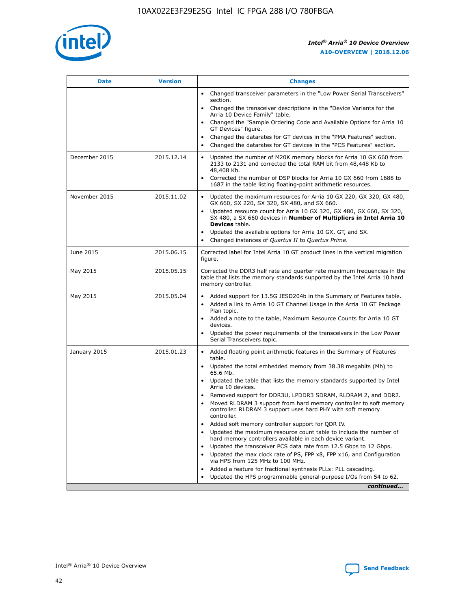

| <b>Date</b>   | <b>Version</b> | <b>Changes</b>                                                                                                                                                               |
|---------------|----------------|------------------------------------------------------------------------------------------------------------------------------------------------------------------------------|
|               |                | • Changed transceiver parameters in the "Low Power Serial Transceivers"<br>section.                                                                                          |
|               |                | • Changed the transceiver descriptions in the "Device Variants for the<br>Arria 10 Device Family" table.                                                                     |
|               |                | Changed the "Sample Ordering Code and Available Options for Arria 10<br>$\bullet$<br>GT Devices" figure.                                                                     |
|               |                | Changed the datarates for GT devices in the "PMA Features" section.                                                                                                          |
|               |                | Changed the datarates for GT devices in the "PCS Features" section.<br>$\bullet$                                                                                             |
| December 2015 | 2015.12.14     | Updated the number of M20K memory blocks for Arria 10 GX 660 from<br>2133 to 2131 and corrected the total RAM bit from 48,448 Kb to<br>48,408 Kb.                            |
|               |                | Corrected the number of DSP blocks for Arria 10 GX 660 from 1688 to<br>1687 in the table listing floating-point arithmetic resources.                                        |
| November 2015 | 2015.11.02     | Updated the maximum resources for Arria 10 GX 220, GX 320, GX 480,<br>$\bullet$<br>GX 660, SX 220, SX 320, SX 480, and SX 660.                                               |
|               |                | • Updated resource count for Arria 10 GX 320, GX 480, GX 660, SX 320,<br>SX 480, a SX 660 devices in Number of Multipliers in Intel Arria 10<br><b>Devices</b> table.        |
|               |                | Updated the available options for Arria 10 GX, GT, and SX.                                                                                                                   |
|               |                | Changed instances of Quartus II to Quartus Prime.<br>$\bullet$                                                                                                               |
| June 2015     | 2015.06.15     | Corrected label for Intel Arria 10 GT product lines in the vertical migration<br>figure.                                                                                     |
| May 2015      | 2015.05.15     | Corrected the DDR3 half rate and quarter rate maximum frequencies in the<br>table that lists the memory standards supported by the Intel Arria 10 hard<br>memory controller. |
| May 2015      | 2015.05.04     | • Added support for 13.5G JESD204b in the Summary of Features table.                                                                                                         |
|               |                | • Added a link to Arria 10 GT Channel Usage in the Arria 10 GT Package<br>Plan topic.                                                                                        |
|               |                | • Added a note to the table, Maximum Resource Counts for Arria 10 GT<br>devices.                                                                                             |
|               |                | • Updated the power requirements of the transceivers in the Low Power<br>Serial Transceivers topic.                                                                          |
| January 2015  | 2015.01.23     | • Added floating point arithmetic features in the Summary of Features<br>table.                                                                                              |
|               |                | • Updated the total embedded memory from 38.38 megabits (Mb) to<br>65.6 Mb.                                                                                                  |
|               |                | • Updated the table that lists the memory standards supported by Intel<br>Arria 10 devices.                                                                                  |
|               |                | Removed support for DDR3U, LPDDR3 SDRAM, RLDRAM 2, and DDR2.                                                                                                                 |
|               |                | Moved RLDRAM 3 support from hard memory controller to soft memory<br>controller. RLDRAM 3 support uses hard PHY with soft memory<br>controller.                              |
|               |                | Added soft memory controller support for QDR IV.<br>٠                                                                                                                        |
|               |                | Updated the maximum resource count table to include the number of<br>hard memory controllers available in each device variant.                                               |
|               |                | Updated the transceiver PCS data rate from 12.5 Gbps to 12 Gbps.<br>$\bullet$                                                                                                |
|               |                | Updated the max clock rate of PS, FPP x8, FPP x16, and Configuration<br>via HPS from 125 MHz to 100 MHz.                                                                     |
|               |                | Added a feature for fractional synthesis PLLs: PLL cascading.                                                                                                                |
|               |                | Updated the HPS programmable general-purpose I/Os from 54 to 62.<br>$\bullet$                                                                                                |
|               |                | continued                                                                                                                                                                    |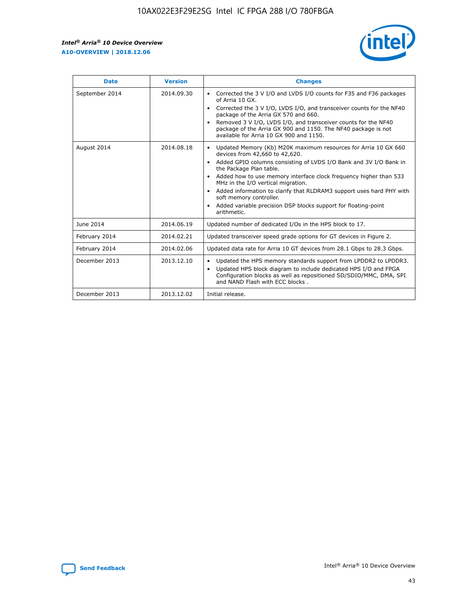

| <b>Date</b>    | <b>Version</b> | <b>Changes</b>                                                                                                                                                                                                                                                                                                                                                                                                                                                                                                                                                   |
|----------------|----------------|------------------------------------------------------------------------------------------------------------------------------------------------------------------------------------------------------------------------------------------------------------------------------------------------------------------------------------------------------------------------------------------------------------------------------------------------------------------------------------------------------------------------------------------------------------------|
| September 2014 | 2014.09.30     | Corrected the 3 V I/O and LVDS I/O counts for F35 and F36 packages<br>$\bullet$<br>of Arria 10 GX.<br>Corrected the 3 V I/O, LVDS I/O, and transceiver counts for the NF40<br>$\bullet$<br>package of the Arria GX 570 and 660.<br>Removed 3 V I/O, LVDS I/O, and transceiver counts for the NF40<br>$\bullet$<br>package of the Arria GX 900 and 1150. The NF40 package is not<br>available for Arria 10 GX 900 and 1150.                                                                                                                                       |
| August 2014    | 2014.08.18     | Updated Memory (Kb) M20K maximum resources for Arria 10 GX 660<br>$\bullet$<br>devices from 42,660 to 42,620.<br>Added GPIO columns consisting of LVDS I/O Bank and 3V I/O Bank in<br>$\bullet$<br>the Package Plan table.<br>Added how to use memory interface clock frequency higher than 533<br>$\bullet$<br>MHz in the I/O vertical migration.<br>Added information to clarify that RLDRAM3 support uses hard PHY with<br>$\bullet$<br>soft memory controller.<br>Added variable precision DSP blocks support for floating-point<br>$\bullet$<br>arithmetic. |
| June 2014      | 2014.06.19     | Updated number of dedicated I/Os in the HPS block to 17.                                                                                                                                                                                                                                                                                                                                                                                                                                                                                                         |
| February 2014  | 2014.02.21     | Updated transceiver speed grade options for GT devices in Figure 2.                                                                                                                                                                                                                                                                                                                                                                                                                                                                                              |
| February 2014  | 2014.02.06     | Updated data rate for Arria 10 GT devices from 28.1 Gbps to 28.3 Gbps.                                                                                                                                                                                                                                                                                                                                                                                                                                                                                           |
| December 2013  | 2013.12.10     | Updated the HPS memory standards support from LPDDR2 to LPDDR3.<br>٠<br>Updated HPS block diagram to include dedicated HPS I/O and FPGA<br>$\bullet$<br>Configuration blocks as well as repositioned SD/SDIO/MMC, DMA, SPI<br>and NAND Flash with ECC blocks.                                                                                                                                                                                                                                                                                                    |
| December 2013  | 2013.12.02     | Initial release.                                                                                                                                                                                                                                                                                                                                                                                                                                                                                                                                                 |